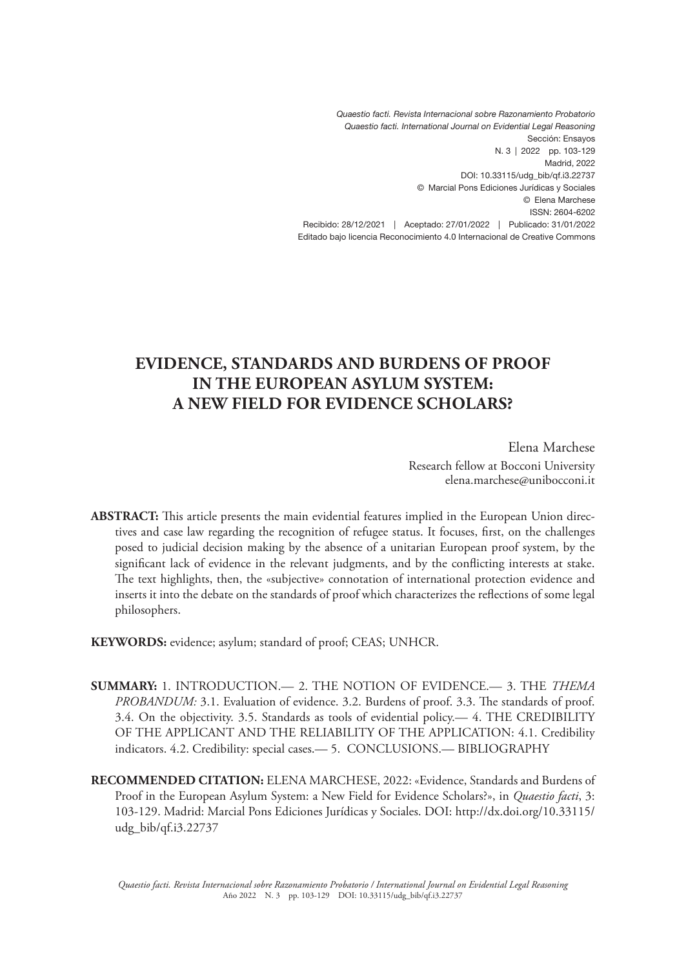*Quaestio facti. Revista Internacional sobre Razonamiento Probatorio Quaestio facti. International Journal on Evidential Legal Reasoning* Sección: Ensayos N. 3 | 2022 pp. 103-129 Madrid, 2022 DOI: 10.33115/udg\_bib/qf.i3.22737 © Marcial Pons Ediciones Jurídicas y Sociales © Elena Marchese ISSN: 2604-6202 Recibido: 28/12/2021 | Aceptado: 27/01/2022 | Publicado: 31/01/2022 Editado bajo licencia Reconocimiento 4.0 Internacional de Creative Commons

# **EVIDENCE, STANDARDS AND BURDENS OF PROOF IN THE EUROPEAN ASYLUM SYSTEM: A NEW FIELD FOR EVIDENCE SCHOLARS?**

Elena Marchese Research fellow at Bocconi University elena.marchese@unibocconi.it

**ABSTRACT:** This article presents the main evidential features implied in the European Union directives and case law regarding the recognition of refugee status. It focuses, first, on the challenges posed to judicial decision making by the absence of a unitarian European proof system, by the significant lack of evidence in the relevant judgments, and by the conflicting interests at stake. The text highlights, then, the «subjective» connotation of international protection evidence and inserts it into the debate on the standards of proof which characterizes the reflections of some legal philosophers.

**KEYWORDS:** evidence; asylum; standard of proof; CEAS; UNHCR.

- **SUMMARY:** 1. INTRODUCTION.— 2. THE NOTION OF EVIDENCE.— 3. THE *THEMA PROBANDUM:* 3.1. Evaluation of evidence. 3.2. Burdens of proof. 3.3. The standards of proof. 3.4. On the objectivity. 3.5. Standards as tools of evidential policy.— 4. THE CREDIBILITY OF THE APPLICANT AND THE RELIABILITY OF THE APPLICATION: 4.1. Credibility indicators. 4.2. Credibility: special cases.— 5. CONCLUSIONS.— BIBLIOGRAPHY
- **RECOMMENDED CITATION:** ELENA MARCHESE, 2022: «Evidence, Standards and Burdens of Proof in the European Asylum System: a New Field for Evidence Scholars?», in *Quaestio facti*, 3: 103-129. Madrid: Marcial Pons Ediciones Jurídicas y Sociales. DOI: http://dx.doi.org/10.33115/ udg\_bib/qf.i3.22737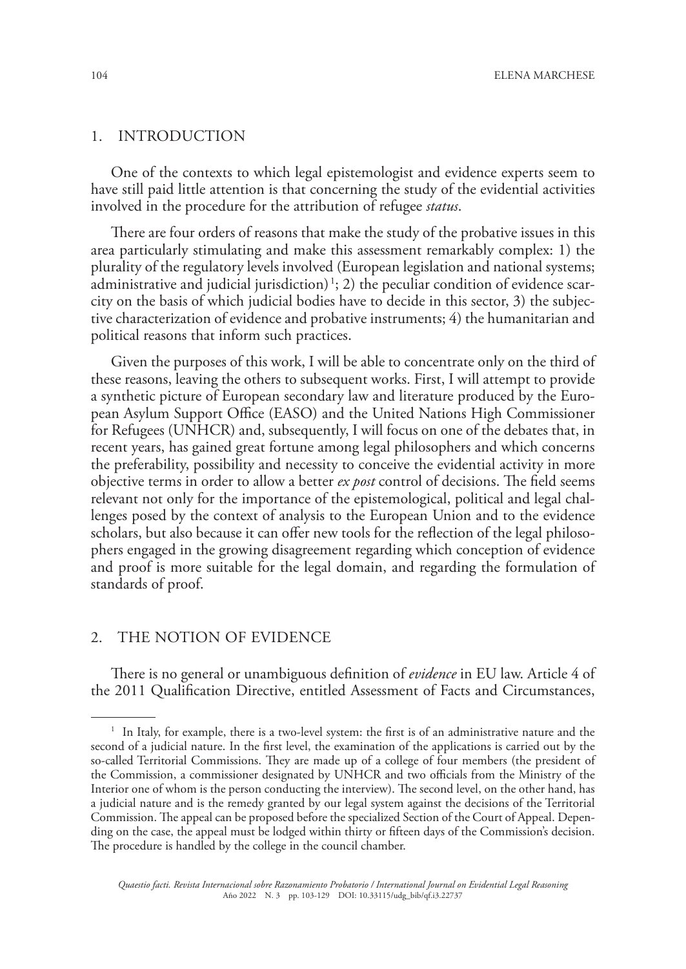#### 1. INTRODUCTION

One of the contexts to which legal epistemologist and evidence experts seem to have still paid little attention is that concerning the study of the evidential activities involved in the procedure for the attribution of refugee *status*.

There are four orders of reasons that make the study of the probative issues in this area particularly stimulating and make this assessment remarkably complex: 1) the plurality of the regulatory levels involved (European legislation and national systems; administrative and judicial jurisdiction) 1 ; 2) the peculiar condition of evidence scarcity on the basis of which judicial bodies have to decide in this sector, 3) the subjective characterization of evidence and probative instruments; 4) the humanitarian and political reasons that inform such practices.

Given the purposes of this work, I will be able to concentrate only on the third of these reasons, leaving the others to subsequent works. First, I will attempt to provide a synthetic picture of European secondary law and literature produced by the European Asylum Support Office (EASO) and the United Nations High Commissioner for Refugees (UNHCR) and, subsequently, I will focus on one of the debates that, in recent years, has gained great fortune among legal philosophers and which concerns the preferability, possibility and necessity to conceive the evidential activity in more objective terms in order to allow a better *ex post* control of decisions. The field seems relevant not only for the importance of the epistemological, political and legal challenges posed by the context of analysis to the European Union and to the evidence scholars, but also because it can offer new tools for the reflection of the legal philosophers engaged in the growing disagreement regarding which conception of evidence and proof is more suitable for the legal domain, and regarding the formulation of standards of proof.

# 2. THE NOTION OF EVIDENCE

There is no general or unambiguous definition of *evidence* in EU law. Article 4 of the 2011 Qualification Directive, entitled Assessment of Facts and Circumstances,

<sup>1</sup> In Italy, for example, there is a two-level system: the first is of an administrative nature and the second of a judicial nature. In the first level, the examination of the applications is carried out by the so-called Territorial Commissions. They are made up of a college of four members (the president of the Commission, a commissioner designated by UNHCR and two officials from the Ministry of the Interior one of whom is the person conducting the interview). The second level, on the other hand, has a judicial nature and is the remedy granted by our legal system against the decisions of the Territorial Commission. The appeal can be proposed before the specialized Section of the Court of Appeal. Depending on the case, the appeal must be lodged within thirty or fifteen days of the Commission's decision. The procedure is handled by the college in the council chamber.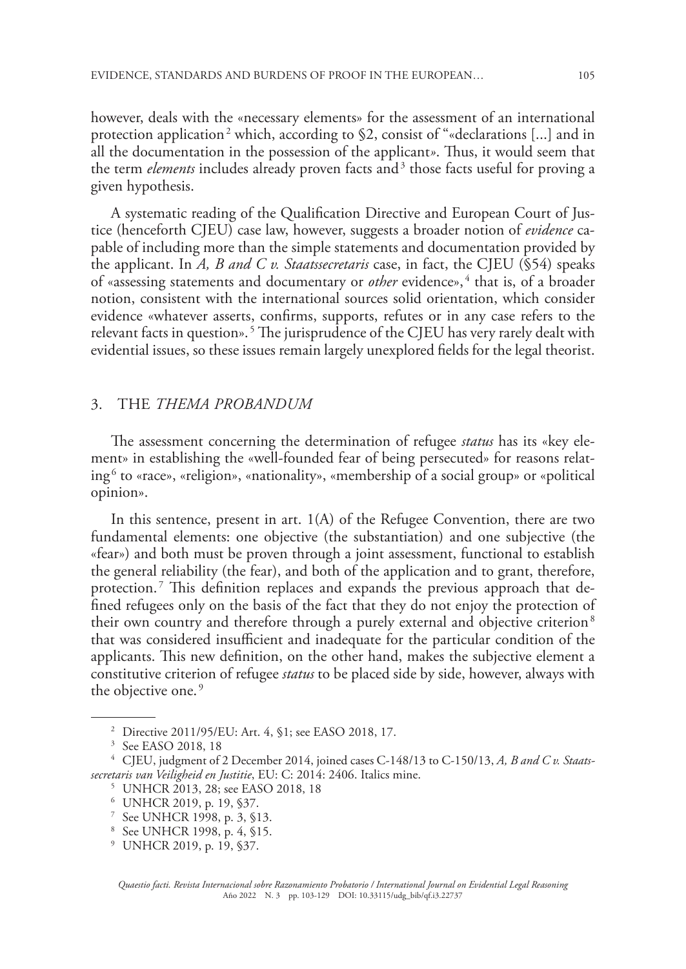however, deals with the «necessary elements» for the assessment of an international protection application<sup>2</sup> which, according to \$2, consist of "«declarations [...] and in all the documentation in the possession of the applicant*»*. Thus, it would seem that the term *elements* includes already proven facts and<sup>3</sup> those facts useful for proving a given hypothesis.

A systematic reading of the Qualification Directive and European Court of Justice (henceforth CJEU) case law, however, suggests a broader notion of *evidence* capable of including more than the simple statements and documentation provided by the applicant. In *A, B and C v. Staatssecretaris* case, in fact, the CJEU (§54) speaks of «assessing statements and documentary or *other* evidence»,<sup>4</sup> that is, of a broader notion, consistent with the international sources solid orientation, which consider evidence «whatever asserts, confirms, supports, refutes or in any case refers to the relevant facts in question». 5 The jurisprudence of the CJEU has very rarely dealt with evidential issues, so these issues remain largely unexplored fields for the legal theorist.

#### 3. THE *THEMA PROBANDUM*

The assessment concerning the determination of refugee *status* has its «key element» in establishing the «well-founded fear of being persecuted» for reasons relating $^6$  to «race», «religion», «nationality», «membership of a social group» or «political opinion».

In this sentence, present in art.  $1(A)$  of the Refugee Convention, there are two fundamental elements: one objective (the substantiation) and one subjective (the «fear») and both must be proven through a joint assessment, functional to establish the general reliability (the fear), and both of the application and to grant, therefore, protection. 7 This definition replaces and expands the previous approach that defined refugees only on the basis of the fact that they do not enjoy the protection of their own country and therefore through a purely external and objective criterion<sup>8</sup> that was considered insufficient and inadequate for the particular condition of the applicants. This new definition, on the other hand, makes the subjective element a constitutive criterion of refugee *status* to be placed side by side, however, always with the objective one.<sup>9</sup>

<sup>2</sup> Directive 2011/95/EU: Art. 4, §1; see EASO 2018, 17.

<sup>3</sup> See EASO 2018, 18

<sup>4</sup> CJEU, judgment of 2 December 2014, joined cases C-148/13 to C-150/13, *A, B and C v. Staatssecretaris van Veiligheid en Justitie*, EU: C: 2014: 2406. Italics mine.

<sup>5</sup> UNHCR 2013, 28; see EASO 2018, 18

<sup>6</sup> UNHCR 2019, p. 19, §37.

<sup>7</sup> See UNHCR 1998, p. 3, §13.

<sup>8</sup> See UNHCR 1998, p. 4, §15.

<sup>9</sup> UNHCR 2019, p. 19, §37.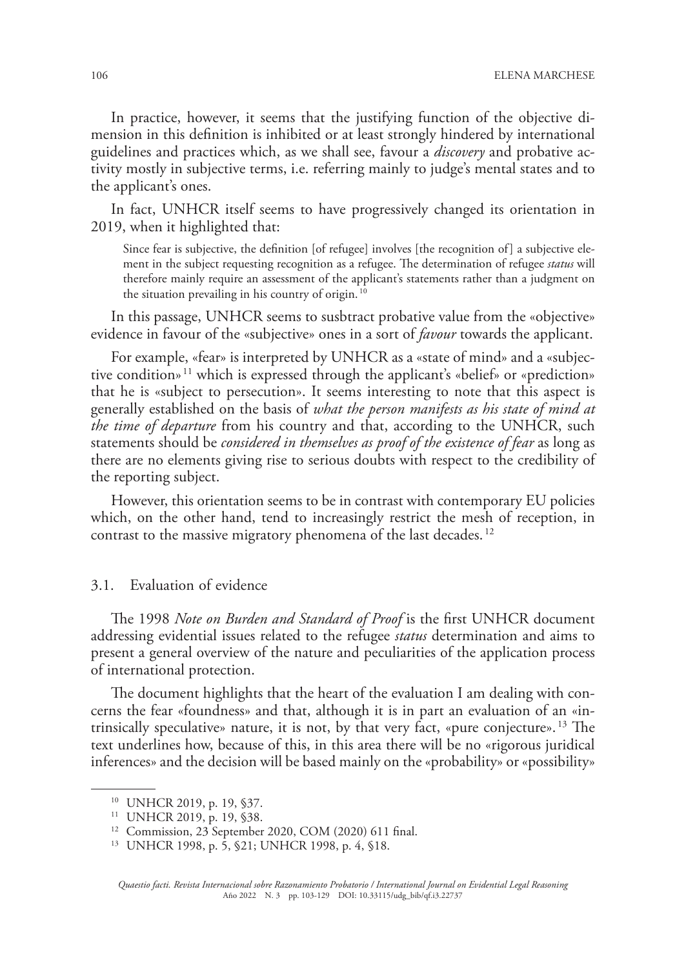In practice, however, it seems that the justifying function of the objective dimension in this definition is inhibited or at least strongly hindered by international guidelines and practices which, as we shall see, favour a *discovery* and probative activity mostly in subjective terms, i.e. referring mainly to judge's mental states and to the applicant's ones.

In fact, UNHCR itself seems to have progressively changed its orientation in 2019, when it highlighted that:

Since fear is subjective, the definition [of refugee] involves [the recognition of] a subjective element in the subject requesting recognition as a refugee. The determination of refugee *status* will therefore mainly require an assessment of the applicant's statements rather than a judgment on the situation prevailing in his country of origin.<sup>10</sup>

In this passage, UNHCR seems to susbtract probative value from the «objective» evidence in favour of the «subjective» ones in a sort of *favour* towards the applicant.

For example, «fear» is interpreted by UNHCR as a «state of mind» and a «subjective condition» 11 which is expressed through the applicant's «belief» or «prediction» that he is «subject to persecution». It seems interesting to note that this aspect is generally established on the basis of *what the person manifests as his state of mind at the time of departure* from his country and that, according to the UNHCR, such statements should be *considered in themselves as proof of the existence of fear* as long as there are no elements giving rise to serious doubts with respect to the credibility of the reporting subject.

However, this orientation seems to be in contrast with contemporary EU policies which, on the other hand, tend to increasingly restrict the mesh of reception, in contrast to the massive migratory phenomena of the last decades. 12

#### 3.1. Evaluation of evidence

The 1998 *Note on Burden and Standard of Proof* is the first UNHCR document addressing evidential issues related to the refugee *status* determination and aims to present a general overview of the nature and peculiarities of the application process of international protection.

The document highlights that the heart of the evaluation I am dealing with concerns the fear «foundness» and that, although it is in part an evaluation of an «intrinsically speculative» nature, it is not, by that very fact, «pure conjecture».<sup>13</sup> The text underlines how, because of this, in this area there will be no «rigorous juridical inferences» and the decision will be based mainly on the «probability» or «possibility»

<sup>10</sup> UNHCR 2019, p. 19, §37.

<sup>11</sup> UNHCR 2019, p. 19, §38.

<sup>12</sup> Commission, 23 September 2020, COM (2020) 611 final.

<sup>13</sup> UNHCR 1998, p. 5, §21; UNHCR 1998, p. 4, §18.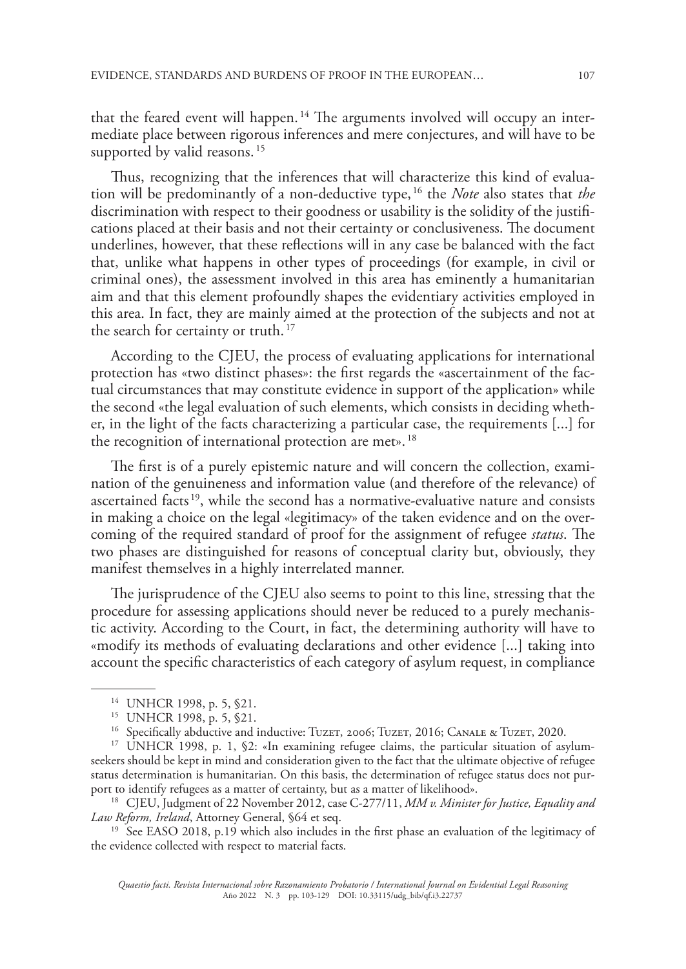that the feared event will happen.<sup>14</sup> The arguments involved will occupy an intermediate place between rigorous inferences and mere conjectures, and will have to be supported by valid reasons.<sup>15</sup>

Thus, recognizing that the inferences that will characterize this kind of evaluation will be predominantly of a non-deductive type, 16 the *Note* also states that *the* discrimination with respect to their goodness or usability is the solidity of the justifications placed at their basis and not their certainty or conclusiveness. The document underlines, however, that these reflections will in any case be balanced with the fact that, unlike what happens in other types of proceedings (for example, in civil or criminal ones), the assessment involved in this area has eminently a humanitarian aim and that this element profoundly shapes the evidentiary activities employed in this area. In fact, they are mainly aimed at the protection of the subjects and not at the search for certainty or truth.<sup>17</sup>

According to the CJEU, the process of evaluating applications for international protection has «two distinct phases»: the first regards the «ascertainment of the factual circumstances that may constitute evidence in support of the application» while the second «the legal evaluation of such elements, which consists in deciding whether, in the light of the facts characterizing a particular case, the requirements [...] for the recognition of international protection are met».<sup>18</sup>

The first is of a purely epistemic nature and will concern the collection, examination of the genuineness and information value (and therefore of the relevance) of ascertained facts 19, while the second has a normative-evaluative nature and consists in making a choice on the legal «legitimacy» of the taken evidence and on the overcoming of the required standard of proof for the assignment of refugee *status*. The two phases are distinguished for reasons of conceptual clarity but, obviously, they manifest themselves in a highly interrelated manner.

The jurisprudence of the CJEU also seems to point to this line, stressing that the procedure for assessing applications should never be reduced to a purely mechanistic activity. According to the Court, in fact, the determining authority will have to «modify its methods of evaluating declarations and other evidence [...] taking into account the specific characteristics of each category of asylum request, in compliance

<sup>17</sup> UNHCR 1998, p. 1, §2: «In examining refugee claims, the particular situation of asylumseekers should be kept in mind and consideration given to the fact that the ultimate objective of refugee status determination is humanitarian. On this basis, the determination of refugee status does not purport to identify refugees as a matter of certainty, but as a matter of likelihood».

<sup>18</sup> CJEU, Judgment of 22 November 2012, case C-277/11, *MM v. Minister for Justice, Equality and Law Reform, Ireland*, Attorney General, §64 et seq.

<sup>19</sup> See EASO 2018, p.19 which also includes in the first phase an evaluation of the legitimacy of the evidence collected with respect to material facts.

<sup>14</sup> UNHCR 1998, p. 5, §21.

<sup>15</sup> UNHCR 1998, p. 5, §21.

<sup>&</sup>lt;sup>16</sup> Specifically abductive and inductive: TUZET, 2006; TUZET, 2016; CANALE & TUZET, 2020.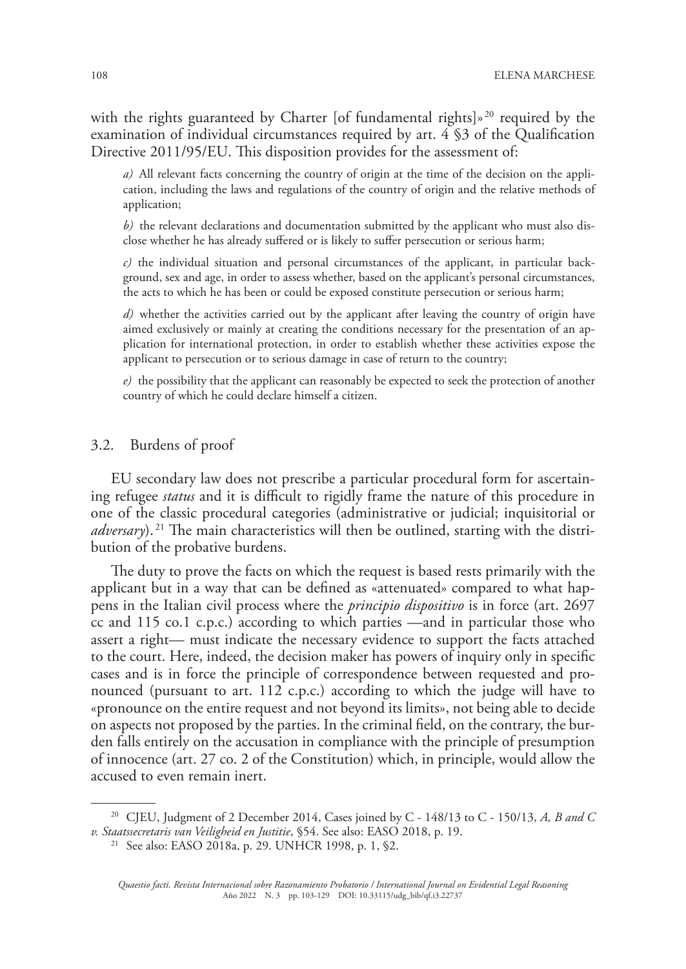with the rights guaranteed by Charter [of fundamental rights]»<sup>20</sup> required by the examination of individual circumstances required by art. 4 §3 of the Qualification Directive 2011/95/EU. This disposition provides for the assessment of:

*a)* All relevant facts concerning the country of origin at the time of the decision on the application, including the laws and regulations of the country of origin and the relative methods of application;

*b)* the relevant declarations and documentation submitted by the applicant who must also disclose whether he has already suffered or is likely to suffer persecution or serious harm;

*c)* the individual situation and personal circumstances of the applicant, in particular background, sex and age, in order to assess whether, based on the applicant's personal circumstances, the acts to which he has been or could be exposed constitute persecution or serious harm;

*d)* whether the activities carried out by the applicant after leaving the country of origin have aimed exclusively or mainly at creating the conditions necessary for the presentation of an application for international protection, in order to establish whether these activities expose the applicant to persecution or to serious damage in case of return to the country;

*e)* the possibility that the applicant can reasonably be expected to seek the protection of another country of which he could declare himself a citizen.

#### 3.2. Burdens of proof

EU secondary law does not prescribe a particular procedural form for ascertaining refugee *status* and it is difficult to rigidly frame the nature of this procedure in one of the classic procedural categories (administrative or judicial; inquisitorial or *adversary*). 21 The main characteristics will then be outlined, starting with the distribution of the probative burdens.

The duty to prove the facts on which the request is based rests primarily with the applicant but in a way that can be defined as «attenuated» compared to what happens in the Italian civil process where the *principio dispositivo* is in force (art. 2697 cc and 115 co.1 c.p.c.) according to which parties —and in particular those who assert a right— must indicate the necessary evidence to support the facts attached to the court. Here, indeed, the decision maker has powers of inquiry only in specific cases and is in force the principle of correspondence between requested and pronounced (pursuant to art. 112 c.p.c.) according to which the judge will have to «pronounce on the entire request and not beyond its limits», not being able to decide on aspects not proposed by the parties. In the criminal field, on the contrary, the burden falls entirely on the accusation in compliance with the principle of presumption of innocence (art. 27 co. 2 of the Constitution) which, in principle, would allow the accused to even remain inert.

<sup>20</sup> CJEU, Judgment of 2 December 2014, Cases joined by C - 148/13 to C - 150/13, *A, B and C v. Staatssecretaris van Veiligheid en Justitie*, §54. See also: EASO 2018, p. 19.

<sup>21</sup> See also: EASO 2018a, p. 29. UNHCR 1998, p. 1, §2.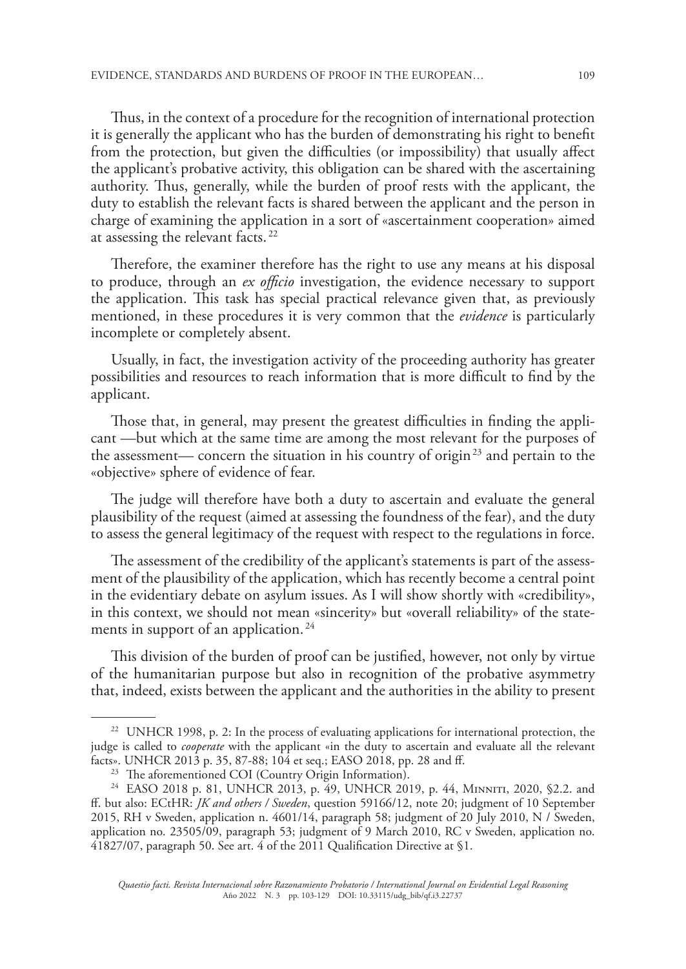Thus, in the context of a procedure for the recognition of international protection it is generally the applicant who has the burden of demonstrating his right to benefit from the protection, but given the difficulties (or impossibility) that usually affect the applicant's probative activity, this obligation can be shared with the ascertaining authority. Thus, generally, while the burden of proof rests with the applicant, the duty to establish the relevant facts is shared between the applicant and the person in charge of examining the application in a sort of «ascertainment cooperation» aimed at assessing the relevant facts. 22

Therefore, the examiner therefore has the right to use any means at his disposal to produce, through an *ex officio* investigation, the evidence necessary to support the application. This task has special practical relevance given that, as previously mentioned, in these procedures it is very common that the *evidence* is particularly incomplete or completely absent.

Usually, in fact, the investigation activity of the proceeding authority has greater possibilities and resources to reach information that is more difficult to find by the applicant.

Those that, in general, may present the greatest difficulties in finding the applicant —but which at the same time are among the most relevant for the purposes of the assessment— concern the situation in his country of origin<sup>23</sup> and pertain to the «objective» sphere of evidence of fear.

The judge will therefore have both a duty to ascertain and evaluate the general plausibility of the request (aimed at assessing the foundness of the fear), and the duty to assess the general legitimacy of the request with respect to the regulations in force.

The assessment of the credibility of the applicant's statements is part of the assessment of the plausibility of the application, which has recently become a central point in the evidentiary debate on asylum issues. As I will show shortly with «credibility», in this context, we should not mean «sincerity» but «overall reliability» of the statements in support of an application.<sup>24</sup>

This division of the burden of proof can be justified, however, not only by virtue of the humanitarian purpose but also in recognition of the probative asymmetry that, indeed, exists between the applicant and the authorities in the ability to present

<sup>&</sup>lt;sup>22</sup> UNHCR 1998, p. 2: In the process of evaluating applications for international protection, the judge is called to *cooperate* with the applicant «in the duty to ascertain and evaluate all the relevant facts». UNHCR 2013 p. 35, 87-88; 104 et seq.; EASO 2018, pp. 28 and ff.

<sup>&</sup>lt;sup>23</sup> The aforementioned COI (Country Origin Information).

<sup>&</sup>lt;sup>24</sup> EASO 2018 p. 81, UNHCR 2013, p. 49, UNHCR 2019, p. 44, MINNITI, 2020, §2.2. and ff. but also: ECtHR: *JK and others / Sweden*, question 59166/12, note 20; judgment of 10 September 2015, RH v Sweden, application n. 4601/14, paragraph 58; judgment of 20 July 2010, N / Sweden, application no. 23505/09, paragraph 53; judgment of 9 March 2010, RC v Sweden, application no. 41827/07, paragraph 50. See art. 4 of the 2011 Qualification Directive at §1.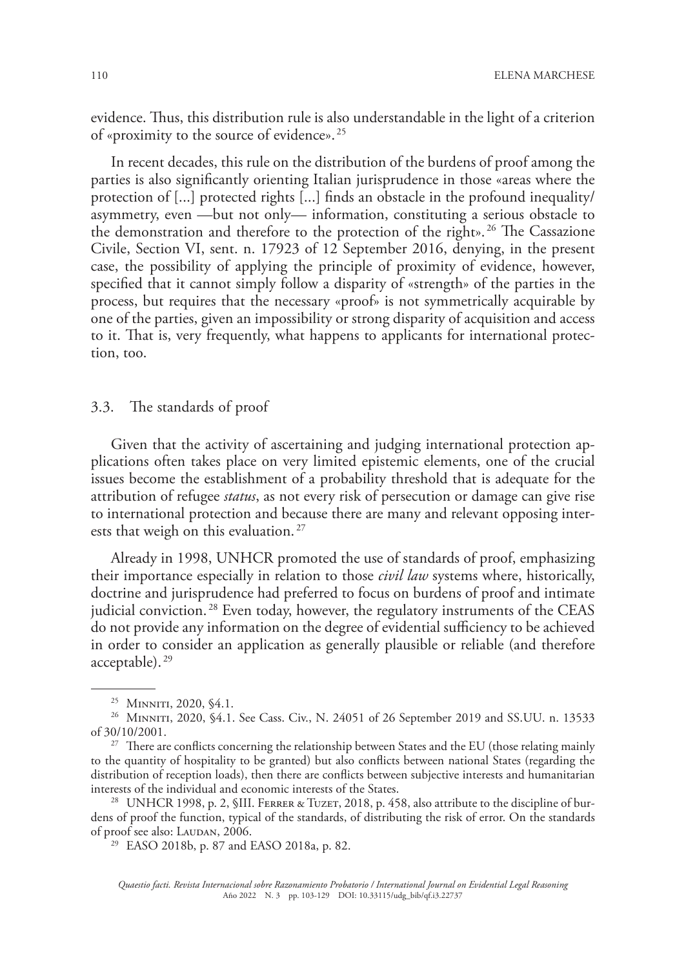evidence. Thus, this distribution rule is also understandable in the light of a criterion of «proximity to the source of evidence». 25

In recent decades, this rule on the distribution of the burdens of proof among the parties is also significantly orienting Italian jurisprudence in those «areas where the protection of [...] protected rights [...] finds an obstacle in the profound inequality/ asymmetry, even —but not only— information, constituting a serious obstacle to the demonstration and therefore to the protection of the right». 26 The Cassazione Civile, Section VI, sent. n. 17923 of 12 September 2016, denying, in the present case, the possibility of applying the principle of proximity of evidence, however, specified that it cannot simply follow a disparity of «strength» of the parties in the process, but requires that the necessary «proof» is not symmetrically acquirable by one of the parties, given an impossibility or strong disparity of acquisition and access to it. That is, very frequently, what happens to applicants for international protection, too.

#### 3.3. The standards of proof

Given that the activity of ascertaining and judging international protection applications often takes place on very limited epistemic elements, one of the crucial issues become the establishment of a probability threshold that is adequate for the attribution of refugee *status*, as not every risk of persecution or damage can give rise to international protection and because there are many and relevant opposing interests that weigh on this evaluation.<sup>27</sup>

Already in 1998, UNHCR promoted the use of standards of proof, emphasizing their importance especially in relation to those *civil law* systems where, historically, doctrine and jurisprudence had preferred to focus on burdens of proof and intimate judicial conviction. 28 Even today, however, the regulatory instruments of the CEAS do not provide any information on the degree of evidential sufficiency to be achieved in order to consider an application as generally plausible or reliable (and therefore acceptable). 29

<sup>28</sup> UNHCR 1998, p. 2, §III. FERRER & TUZET, 2018, p. 458, also attribute to the discipline of burdens of proof the function, typical of the standards, of distributing the risk of error. On the standards of proof see also: LAUDAN, 2006.

<sup>29</sup> EASO 2018b, p. 87 and EASO 2018a, p. 82.

<sup>&</sup>lt;sup>25</sup> MINNITI, 2020, §4.1.

<sup>&</sup>lt;sup>26</sup> MINNITI, 2020, §4.1. See Cass. Civ., N. 24051 of 26 September 2019 and SS.UU. n. 13533 of 30/10/2001.

<sup>&</sup>lt;sup>27</sup> There are conflicts concerning the relationship between States and the EU (those relating mainly to the quantity of hospitality to be granted) but also conflicts between national States (regarding the distribution of reception loads), then there are conflicts between subjective interests and humanitarian interests of the individual and economic interests of the States.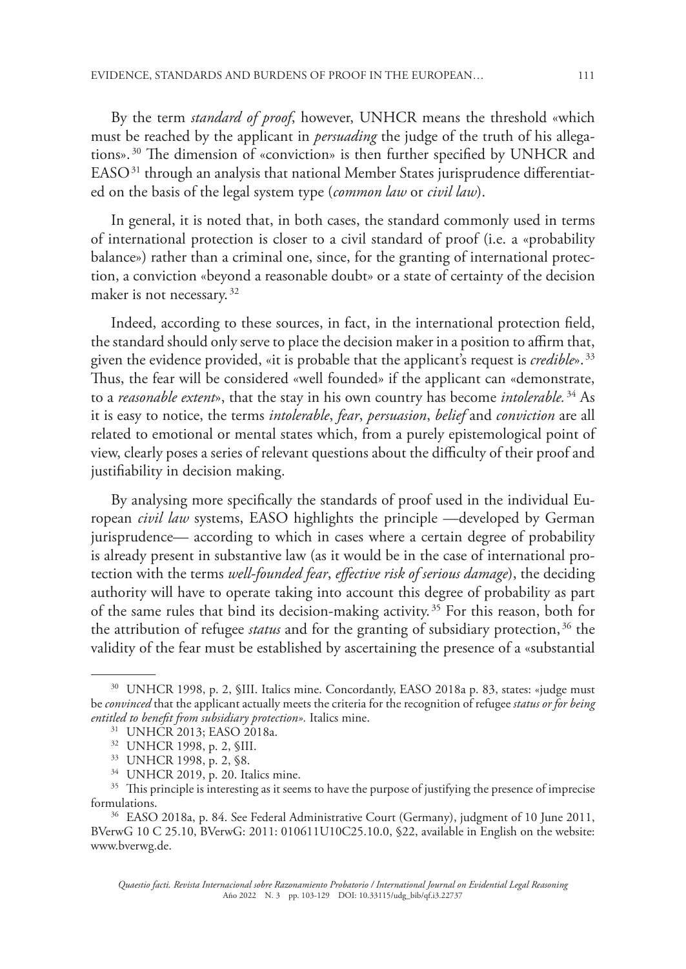By the term *standard of proof*, however, UNHCR means the threshold «which must be reached by the applicant in *persuading* the judge of the truth of his allegations». 30 The dimension of «conviction» is then further specified by UNHCR and EASO 31 through an analysis that national Member States jurisprudence differentiated on the basis of the legal system type (*common law* or *civil law*).

In general, it is noted that, in both cases, the standard commonly used in terms of international protection is closer to a civil standard of proof (i.e. a «probability balance») rather than a criminal one, since, for the granting of international protection, a conviction «beyond a reasonable doubt» or a state of certainty of the decision maker is not necessary. 32

Indeed, according to these sources, in fact, in the international protection field, the standard should only serve to place the decision maker in a position to affirm that, given the evidence provided, «it is probable that the applicant's request is *credible*». 33 Thus, the fear will be considered «well founded» if the applicant can «demonstrate, to a *reasonable extent*», that the stay in his own country has become *intolerable.* 34 As it is easy to notice, the terms *intolerable*, *fear*, *persuasion*, *belief* and *conviction* are all related to emotional or mental states which, from a purely epistemological point of view, clearly poses a series of relevant questions about the difficulty of their proof and justifiability in decision making.

By analysing more specifically the standards of proof used in the individual European *civil law* systems, EASO highlights the principle —developed by German jurisprudence— according to which in cases where a certain degree of probability is already present in substantive law (as it would be in the case of international protection with the terms *well-founded fear*, *effective risk of serious damage*), the deciding authority will have to operate taking into account this degree of probability as part of the same rules that bind its decision-making activity. 35 For this reason, both for the attribution of refugee *status* and for the granting of subsidiary protection, 36 the validity of the fear must be established by ascertaining the presence of a «substantial

<sup>&</sup>lt;sup>30</sup> UNHCR 1998, p. 2, §III. Italics mine. Concordantly, EASO 2018a p. 83, states: «judge must be *convinced* that the applicant actually meets the criteria for the recognition of refugee *status or for being entitled to benefit from subsidiary protection».* Italics mine.

<sup>31</sup> UNHCR 2013; EASO 2018a.

<sup>32</sup> UNHCR 1998, p. 2, §III.

<sup>33</sup> UNHCR 1998, p. 2, §8.

<sup>34</sup> UNHCR 2019, p. 20. Italics mine.

<sup>&</sup>lt;sup>35</sup> This principle is interesting as it seems to have the purpose of justifying the presence of imprecise formulations.

<sup>36</sup> EASO 2018a, p. 84. See Federal Administrative Court (Germany), judgment of 10 June 2011, BVerwG 10 C 25.10, BVerwG: 2011: 010611U10C25.10.0, §22, available in English on the website: www.bverwg.de.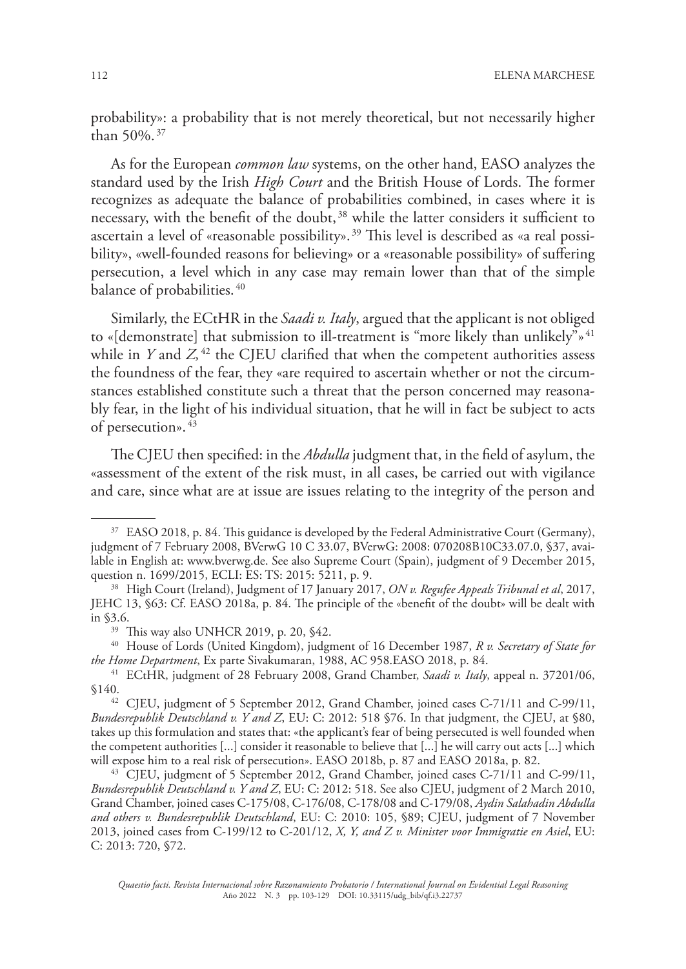probability»: a probability that is not merely theoretical, but not necessarily higher than 50%. 37

As for the European *common law* systems, on the other hand, EASO analyzes the standard used by the Irish *High Court* and the British House of Lords. The former recognizes as adequate the balance of probabilities combined, in cases where it is necessary, with the benefit of the doubt, 38 while the latter considers it sufficient to ascertain a level of «reasonable possibility». 39 This level is described as «a real possibility», «well-founded reasons for believing» or a «reasonable possibility» of suffering persecution, a level which in any case may remain lower than that of the simple balance of probabilities. 40

Similarly, the ECtHR in the *Saadi v. Italy*, argued that the applicant is not obliged to «[demonstrate] that submission to ill-treatment is "more likely than unlikely"»<sup>41</sup> while in  $Y$  and  $Z$ <sup>42</sup> the CJEU clarified that when the competent authorities assess the foundness of the fear, they «are required to ascertain whether or not the circumstances established constitute such a threat that the person concerned may reasonably fear, in the light of his individual situation, that he will in fact be subject to acts of persecution».  $43$ 

The CJEU then specified: in the *Abdulla* judgment that, in the field of asylum, the «assessment of the extent of the risk must, in all cases, be carried out with vigilance and care, since what are at issue are issues relating to the integrity of the person and

<sup>&</sup>lt;sup>37</sup> EASO 2018, p. 84. This guidance is developed by the Federal Administrative Court (Germany), judgment of 7 February 2008, BVerwG 10 C 33.07, BVerwG: 2008: 070208B10C33.07.0, §37, available in English at: www.bverwg.de. See also Supreme Court (Spain), judgment of 9 December 2015, question n. 1699/2015, ECLI: ES: TS: 2015: 5211, p. 9.

<sup>38</sup> High Court (Ireland), Judgment of 17 January 2017, *ON v. Regufee Appeals Tribunal et al*, 2017, JEHC 13, §63: Cf. EASO 2018a, p. 84. The principle of the «benefit of the doubt» will be dealt with in §3.6.

<sup>&</sup>lt;sup>39</sup> This way also UNHCR 2019, p. 20, §42.

<sup>40</sup> House of Lords (United Kingdom), judgment of 16 December 1987, *R v. Secretary of State for the Home Department*, Ex parte Sivakumaran, 1988, AC 958.EASO 2018, p. 84.

<sup>41</sup> ECtHR, judgment of 28 February 2008, Grand Chamber, *Saadi v. Italy*, appeal n. 37201/06, §140.

<sup>42</sup> CJEU, judgment of 5 September 2012, Grand Chamber, joined cases C-71/11 and C-99/11, *Bundesrepublik Deutschland v. Y and Z*, EU: C: 2012: 518 §76. In that judgment, the CJEU, at §80, takes up this formulation and states that: «the applicant's fear of being persecuted is well founded when the competent authorities [...] consider it reasonable to believe that [...] he will carry out acts [...] which will expose him to a real risk of persecution». EASO 2018b, p. 87 and EASO 2018a, p. 82.

<sup>43</sup> CJEU, judgment of 5 September 2012, Grand Chamber, joined cases C-71/11 and C-99/11, *Bundesrepublik Deutschland v. Y and Z*, EU: C: 2012: 518. See also CJEU, judgment of 2 March 2010, Grand Chamber, joined cases C-175/08, C-176/08, C-178/08 and C-179/08, *Aydin Salahadin Abdulla and others v. Bundesrepublik Deutschland*, EU: C: 2010: 105, §89; CJEU, judgment of 7 November 2013, joined cases from C-199/12 to C-201/12, *X, Y, and Z v. Minister voor Immigratie en Asiel*, EU: C: 2013: 720, §72.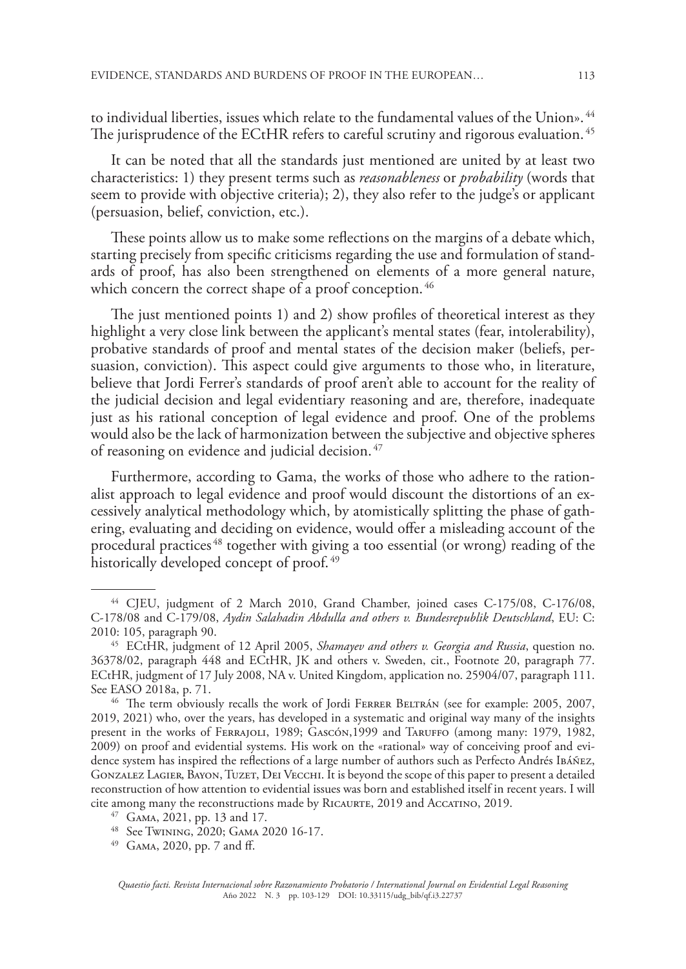to individual liberties, issues which relate to the fundamental values of the Union». 44 The jurisprudence of the ECtHR refers to careful scrutiny and rigorous evaluation.<sup>45</sup>

It can be noted that all the standards just mentioned are united by at least two characteristics: 1) they present terms such as *reasonableness* or *probability* (words that seem to provide with objective criteria); 2), they also refer to the judge's or applicant (persuasion, belief, conviction, etc.).

These points allow us to make some reflections on the margins of a debate which, starting precisely from specific criticisms regarding the use and formulation of standards of proof, has also been strengthened on elements of a more general nature, which concern the correct shape of a proof conception.<sup>46</sup>

The just mentioned points 1) and 2) show profiles of theoretical interest as they highlight a very close link between the applicant's mental states (fear, intolerability), probative standards of proof and mental states of the decision maker (beliefs, persuasion, conviction). This aspect could give arguments to those who, in literature, believe that Jordi Ferrer's standards of proof aren't able to account for the reality of the judicial decision and legal evidentiary reasoning and are, therefore, inadequate just as his rational conception of legal evidence and proof. One of the problems would also be the lack of harmonization between the subjective and objective spheres of reasoning on evidence and judicial decision. 47

Furthermore, according to Gama, the works of those who adhere to the rationalist approach to legal evidence and proof would discount the distortions of an excessively analytical methodology which, by atomistically splitting the phase of gathering, evaluating and deciding on evidence, would offer a misleading account of the procedural practices<sup>48</sup> together with giving a too essential (or wrong) reading of the historically developed concept of proof.<sup>49</sup>

<sup>44</sup> CJEU, judgment of 2 March 2010, Grand Chamber, joined cases C-175/08, C-176/08, C-178/08 and C-179/08, *Aydin Salahadin Abdulla and others v. Bundesrepublik Deutschland*, EU: C: 2010: 105, paragraph 90.

<sup>45</sup> ECtHR, judgment of 12 April 2005, *Shamayev and others v. Georgia and Russia*, question no. 36378/02, paragraph 448 and ECtHR, JK and others v. Sweden, cit., Footnote 20, paragraph 77. ECtHR, judgment of 17 July 2008, NA v. United Kingdom, application no. 25904/07, paragraph 111. See EASO 2018a, p. 71.

<sup>46</sup> The term obviously recalls the work of Jordi Ferrer Beltrán (see for example: 2005, 2007, 2019, 2021) who, over the years, has developed in a systematic and original way many of the insights present in the works of Ferrajoli, 1989; Gascón,1999 and Taruffo (among many: 1979, 1982, 2009) on proof and evidential systems. His work on the «rational» way of conceiving proof and evidence system has inspired the reflections of a large number of authors such as Perfecto Andrés Ibáñez, Gonzalez Lagier, Bayon, Tuzet, Dei Vecchi. It is beyond the scope of this paper to present a detailed reconstruction of how attention to evidential issues was born and established itself in recent years. I will cite among many the reconstructions made by Ricaurte, 2019 and Accatino, 2019.

<sup>47</sup> Gama, 2021, pp. 13 and 17.

<sup>48</sup> See Twining, 2020; Gama 2020 16-17.

<sup>49</sup> Gama, 2020, pp. 7 and ff.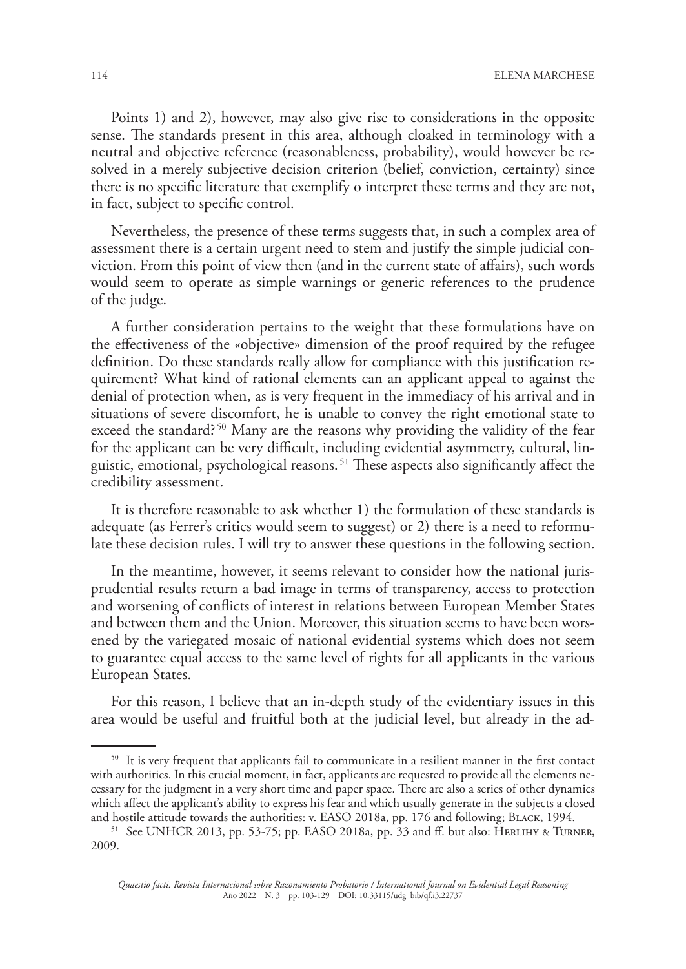Points 1) and 2), however, may also give rise to considerations in the opposite sense. The standards present in this area, although cloaked in terminology with a neutral and objective reference (reasonableness, probability), would however be resolved in a merely subjective decision criterion (belief, conviction, certainty) since there is no specific literature that exemplify o interpret these terms and they are not, in fact, subject to specific control.

Nevertheless, the presence of these terms suggests that, in such a complex area of assessment there is a certain urgent need to stem and justify the simple judicial conviction. From this point of view then (and in the current state of affairs), such words would seem to operate as simple warnings or generic references to the prudence of the judge.

A further consideration pertains to the weight that these formulations have on the effectiveness of the «objective» dimension of the proof required by the refugee definition. Do these standards really allow for compliance with this justification requirement? What kind of rational elements can an applicant appeal to against the denial of protection when, as is very frequent in the immediacy of his arrival and in situations of severe discomfort, he is unable to convey the right emotional state to exceed the standard?<sup>50</sup> Many are the reasons why providing the validity of the fear for the applicant can be very difficult, including evidential asymmetry, cultural, linguistic, emotional, psychological reasons. 51 These aspects also significantly affect the credibility assessment.

It is therefore reasonable to ask whether 1) the formulation of these standards is adequate (as Ferrer's critics would seem to suggest) or 2) there is a need to reformulate these decision rules. I will try to answer these questions in the following section.

In the meantime, however, it seems relevant to consider how the national jurisprudential results return a bad image in terms of transparency, access to protection and worsening of conflicts of interest in relations between European Member States and between them and the Union. Moreover, this situation seems to have been worsened by the variegated mosaic of national evidential systems which does not seem to guarantee equal access to the same level of rights for all applicants in the various European States.

For this reason, I believe that an in-depth study of the evidentiary issues in this area would be useful and fruitful both at the judicial level, but already in the ad-

<sup>&</sup>lt;sup>50</sup> It is very frequent that applicants fail to communicate in a resilient manner in the first contact with authorities. In this crucial moment, in fact, applicants are requested to provide all the elements necessary for the judgment in a very short time and paper space. There are also a series of other dynamics which affect the applicant's ability to express his fear and which usually generate in the subjects a closed and hostile attitude towards the authorities: v. EASO 2018a, pp. 176 and following; BLACK, 1994.

<sup>&</sup>lt;sup>51</sup> See UNHCR 2013, pp. 53-75; pp. EASO 2018a, pp. 33 and ff. but also: HERLIHY & TURNER, 2009.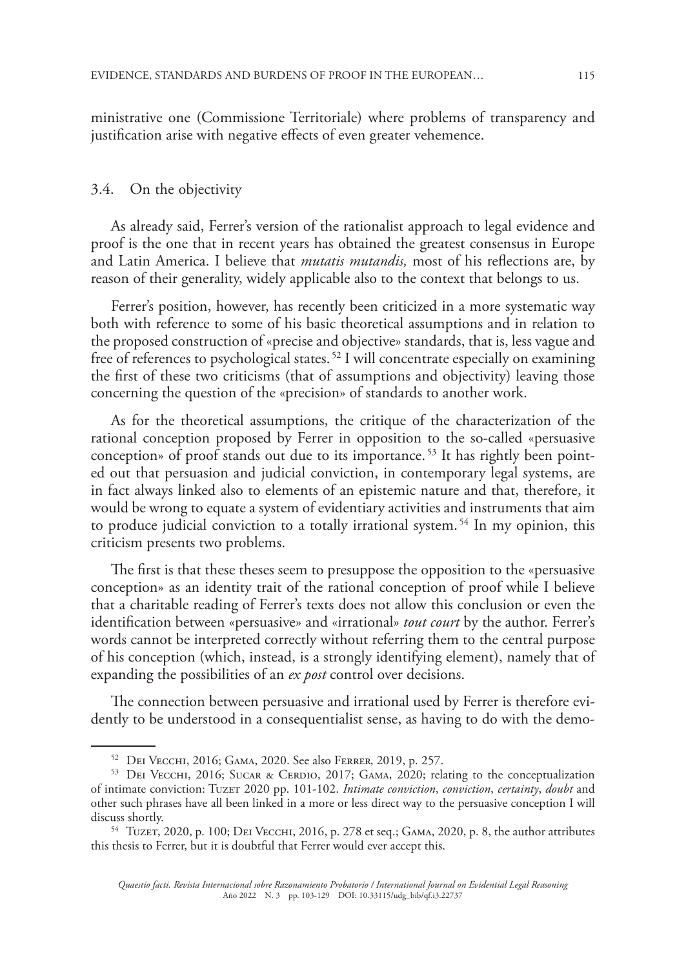ministrative one (Commissione Territoriale) where problems of transparency and justification arise with negative effects of even greater vehemence.

#### 3.4. On the objectivity

As already said, Ferrer's version of the rationalist approach to legal evidence and proof is the one that in recent years has obtained the greatest consensus in Europe and Latin America. I believe that *mutatis mutandis,* most of his reflections are, by reason of their generality, widely applicable also to the context that belongs to us.

Ferrer's position, however, has recently been criticized in a more systematic way both with reference to some of his basic theoretical assumptions and in relation to the proposed construction of «precise and objective» standards, that is, less vague and free of references to psychological states. 52 I will concentrate especially on examining the first of these two criticisms (that of assumptions and objectivity) leaving those concerning the question of the «precision» of standards to another work.

As for the theoretical assumptions, the critique of the characterization of the rational conception proposed by Ferrer in opposition to the so-called «persuasive conception» of proof stands out due to its importance. 53 It has rightly been pointed out that persuasion and judicial conviction, in contemporary legal systems, are in fact always linked also to elements of an epistemic nature and that, therefore, it would be wrong to equate a system of evidentiary activities and instruments that aim to produce judicial conviction to a totally irrational system. 54 In my opinion, this criticism presents two problems.

The first is that these theses seem to presuppose the opposition to the «persuasive conception» as an identity trait of the rational conception of proof while I believe that a charitable reading of Ferrer's texts does not allow this conclusion or even the identification between «persuasive» and «irrational» *tout court* by the author. Ferrer's words cannot be interpreted correctly without referring them to the central purpose of his conception (which, instead, is a strongly identifying element), namely that of expanding the possibilities of an *ex post* control over decisions.

The connection between persuasive and irrational used by Ferrer is therefore evidently to be understood in a consequentialist sense, as having to do with the demo-

<sup>52</sup> Dei Vecchi, 2016; Gama, 2020. See also Ferrer, 2019, p. 257.

<sup>53</sup> DEI VECCHI, 2016; SUCAR & CERDIO, 2017; GAMA, 2020; relating to the conceptualization of intimate conviction: Tuzet 2020 pp. 101-102. *Intimate conviction*, *conviction*, *certainty*, *doubt* and other such phrases have all been linked in a more or less direct way to the persuasive conception I will discuss shortly.

<sup>&</sup>lt;sup>54</sup> TUZET, 2020, p. 100; DEI VECCHI, 2016, p. 278 et seq.; GAMA, 2020, p. 8, the author attributes this thesis to Ferrer, but it is doubtful that Ferrer would ever accept this.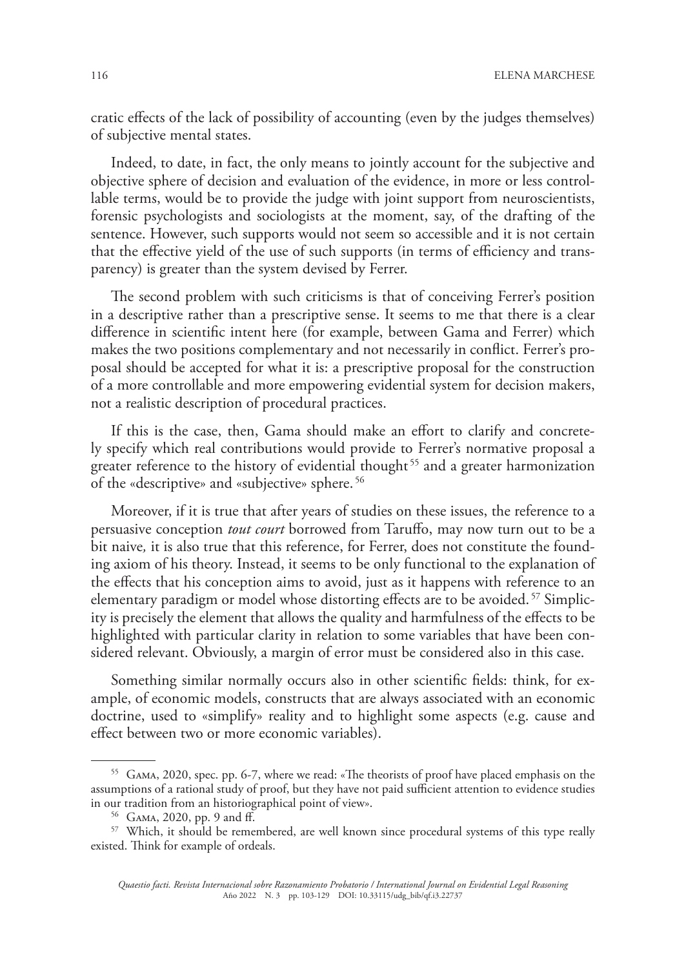cratic effects of the lack of possibility of accounting (even by the judges themselves) of subjective mental states.

Indeed, to date, in fact, the only means to jointly account for the subjective and objective sphere of decision and evaluation of the evidence, in more or less controllable terms, would be to provide the judge with joint support from neuroscientists, forensic psychologists and sociologists at the moment, say, of the drafting of the sentence. However, such supports would not seem so accessible and it is not certain that the effective yield of the use of such supports (in terms of efficiency and transparency) is greater than the system devised by Ferrer.

The second problem with such criticisms is that of conceiving Ferrer's position in a descriptive rather than a prescriptive sense. It seems to me that there is a clear difference in scientific intent here (for example, between Gama and Ferrer) which makes the two positions complementary and not necessarily in conflict. Ferrer's proposal should be accepted for what it is: a prescriptive proposal for the construction of a more controllable and more empowering evidential system for decision makers, not a realistic description of procedural practices.

If this is the case, then, Gama should make an effort to clarify and concretely specify which real contributions would provide to Ferrer's normative proposal a greater reference to the history of evidential thought<sup>55</sup> and a greater harmonization of the «descriptive» and «subjective» sphere. 56

Moreover, if it is true that after years of studies on these issues, the reference to a persuasive conception *tout court* borrowed from Taruffo, may now turn out to be a bit naive*,* it is also true that this reference, for Ferrer, does not constitute the founding axiom of his theory. Instead, it seems to be only functional to the explanation of the effects that his conception aims to avoid, just as it happens with reference to an elementary paradigm or model whose distorting effects are to be avoided. 57 Simplicity is precisely the element that allows the quality and harmfulness of the effects to be highlighted with particular clarity in relation to some variables that have been considered relevant. Obviously, a margin of error must be considered also in this case.

Something similar normally occurs also in other scientific fields: think, for example, of economic models, constructs that are always associated with an economic doctrine, used to «simplify» reality and to highlight some aspects (e.g. cause and effect between two or more economic variables).

<sup>55</sup> Gama, 2020, spec. pp. 6-7, where we read: «The theorists of proof have placed emphasis on the assumptions of a rational study of proof, but they have not paid sufficient attention to evidence studies in our tradition from an historiographical point of view».

<sup>56</sup> Gama, 2020, pp. 9 and ff.

<sup>&</sup>lt;sup>57</sup> Which, it should be remembered, are well known since procedural systems of this type really existed. Think for example of ordeals.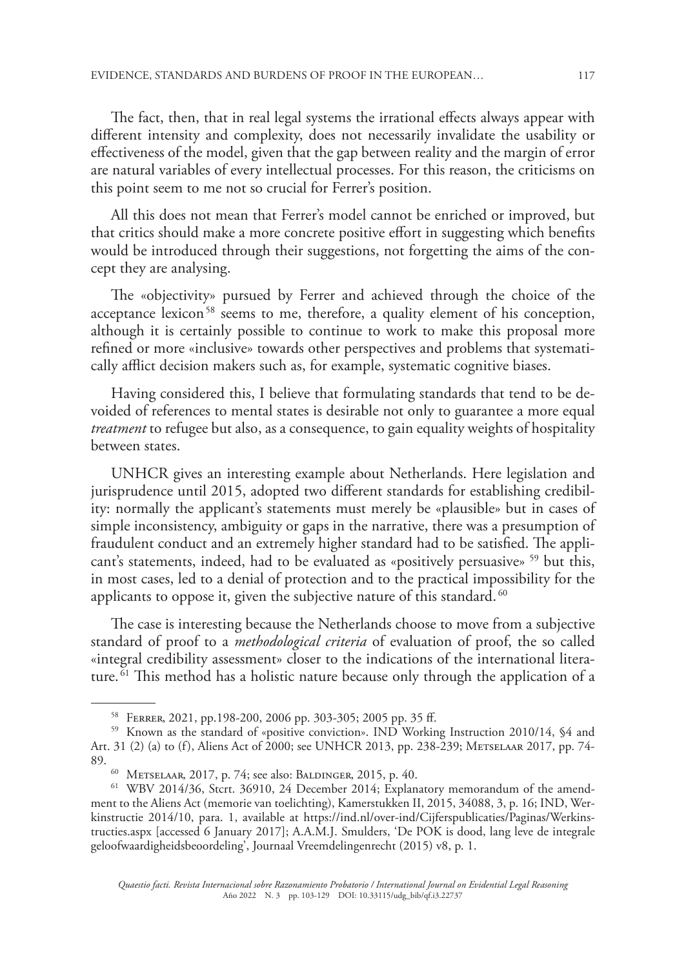The fact, then, that in real legal systems the irrational effects always appear with different intensity and complexity, does not necessarily invalidate the usability or effectiveness of the model, given that the gap between reality and the margin of error are natural variables of every intellectual processes. For this reason, the criticisms on this point seem to me not so crucial for Ferrer's position.

All this does not mean that Ferrer's model cannot be enriched or improved, but that critics should make a more concrete positive effort in suggesting which benefits would be introduced through their suggestions, not forgetting the aims of the concept they are analysing.

The «objectivity» pursued by Ferrer and achieved through the choice of the acceptance lexicon<sup>58</sup> seems to me, therefore, a quality element of his conception, although it is certainly possible to continue to work to make this proposal more refined or more «inclusive» towards other perspectives and problems that systematically afflict decision makers such as, for example, systematic cognitive biases.

Having considered this, I believe that formulating standards that tend to be devoided of references to mental states is desirable not only to guarantee a more equal *treatment* to refugee but also, as a consequence, to gain equality weights of hospitality between states.

UNHCR gives an interesting example about Netherlands. Here legislation and jurisprudence until 2015, adopted two different standards for establishing credibility: normally the applicant's statements must merely be «plausible» but in cases of simple inconsistency, ambiguity or gaps in the narrative, there was a presumption of fraudulent conduct and an extremely higher standard had to be satisfied. The applicant's statements, indeed, had to be evaluated as «positively persuasive»<sup>59</sup> but this, in most cases, led to a denial of protection and to the practical impossibility for the applicants to oppose it, given the subjective nature of this standard.<sup>60</sup>

The case is interesting because the Netherlands choose to move from a subjective standard of proof to a *methodological criteria* of evaluation of proof, the so called «integral credibility assessment» closer to the indications of the international literature.  $\frac{1}{61}$  This method has a holistic nature because only through the application of a

<sup>58</sup> Ferrer, 2021, pp.198-200, 2006 pp. 303-305; 2005 pp. 35 ff.

<sup>59</sup> Known as the standard of «positive conviction». IND Working Instruction 2010/14, §4 and Art. 31 (2) (a) to (f), Aliens Act of 2000; see UNHCR 2013, pp. 238-239; Metselaar 2017, pp. 74- 89.

<sup>60</sup> Metselaar, 2017, p. 74; see also: Baldinger, 2015, p. 40.

<sup>61</sup> WBV 2014/36, Stcrt. 36910, 24 December 2014; Explanatory memorandum of the amendment to the Aliens Act (memorie van toelichting), Kamerstukken II, 2015, 34088, 3, p. 16; IND, Werkinstructie 2014/10, para. 1, available at https://ind.nl/over-ind/Cijferspublicaties/Paginas/Werkinstructies.aspx [accessed 6 January 2017]; A.A.M.J. Smulders, 'De POK is dood, lang leve de integrale geloofwaardigheidsbeoordeling', Journaal Vreemdelingenrecht (2015) v8, p. 1.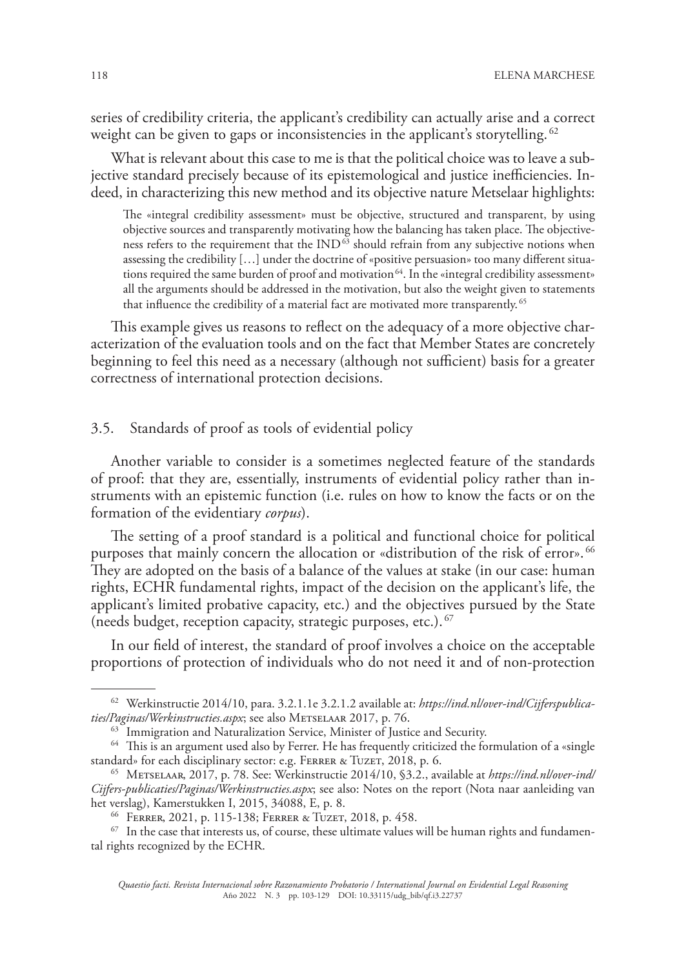series of credibility criteria, the applicant's credibility can actually arise and a correct weight can be given to gaps or inconsistencies in the applicant's storytelling. <sup>62</sup>

What is relevant about this case to me is that the political choice was to leave a subjective standard precisely because of its epistemological and justice inefficiencies. Indeed, in characterizing this new method and its objective nature Metselaar highlights:

The «integral credibility assessment» must be objective, structured and transparent, by using objective sources and transparently motivating how the balancing has taken place. The objectiveness refers to the requirement that the  $IND^{63}$  should refrain from any subjective notions when assessing the credibility […] under the doctrine of «positive persuasion» too many different situations required the same burden of proof and motivation 64. In the «integral credibility assessment» all the arguments should be addressed in the motivation, but also the weight given to statements that influence the credibility of a material fact are motivated more transparently.<sup>65</sup>

This example gives us reasons to reflect on the adequacy of a more objective characterization of the evaluation tools and on the fact that Member States are concretely beginning to feel this need as a necessary (although not sufficient) basis for a greater correctness of international protection decisions.

#### 3.5. Standards of proof as tools of evidential policy

Another variable to consider is a sometimes neglected feature of the standards of proof: that they are, essentially, instruments of evidential policy rather than instruments with an epistemic function (i.e. rules on how to know the facts or on the formation of the evidentiary *corpus*).

The setting of a proof standard is a political and functional choice for political purposes that mainly concern the allocation or «distribution of the risk of error». <sup>66</sup> They are adopted on the basis of a balance of the values at stake (in our case: human rights, ECHR fundamental rights, impact of the decision on the applicant's life, the applicant's limited probative capacity, etc.) and the objectives pursued by the State (needs budget, reception capacity, strategic purposes, etc.). 67

In our field of interest, the standard of proof involves a choice on the acceptable proportions of protection of individuals who do not need it and of non-protection

<sup>62</sup> Werkinstructie 2014/10, para. 3.2.1.1e 3.2.1.2 available at: *https://ind.nl/over-ind/Cijferspublica*ties/Paginas/Werkinstructies.aspx; see also METSELAAR 2017, p. 76.

<sup>&</sup>lt;sup>63</sup> Immigration and Naturalization Service, Minister of Justice and Security.

<sup>&</sup>lt;sup>64</sup> This is an argument used also by Ferrer. He has frequently criticized the formulation of a «single standard» for each disciplinary sector: e.g. FERRER & TUZET, 2018, p. 6.

<sup>65</sup> Metselaar, 2017, p. 78. See: Werkinstructie 2014/10, §3.2., available at *https://ind.nl/over-ind/ Cijfers-publicaties/Paginas/Werkinstructies.aspx*; see also: Notes on the report (Nota naar aanleiding van het verslag), Kamerstukken I, 2015, 34088, E, p. 8.

<sup>66</sup> Ferrer, 2021, p. 115-138; Ferrer & Tuzet, 2018, p. 458.

 $67$  In the case that interests us, of course, these ultimate values will be human rights and fundamental rights recognized by the ECHR.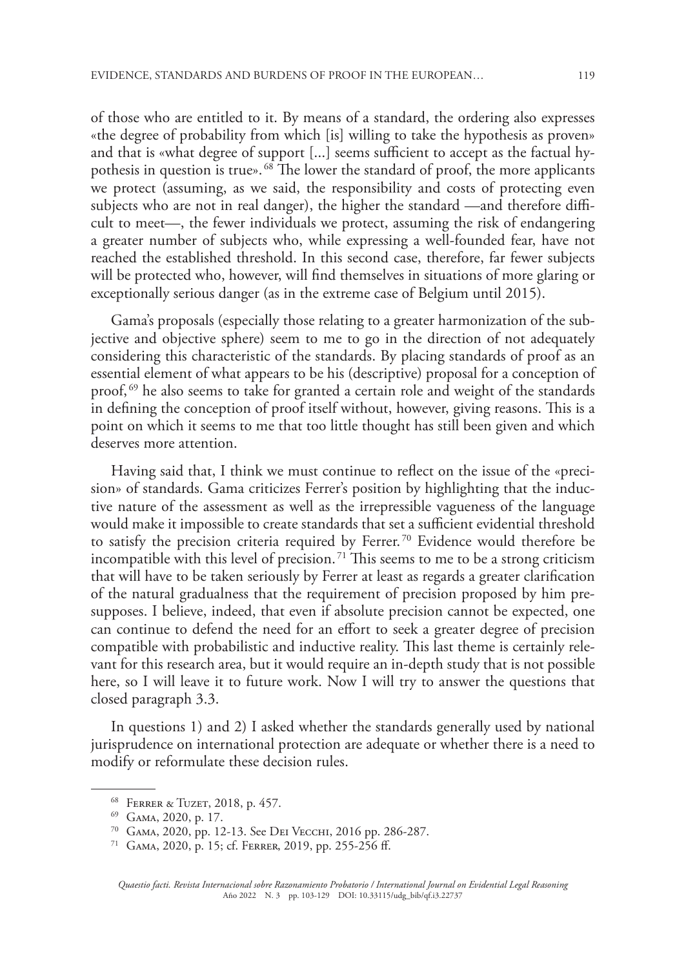of those who are entitled to it. By means of a standard, the ordering also expresses «the degree of probability from which [is] willing to take the hypothesis as proven» and that is «what degree of support [...] seems sufficient to accept as the factual hypothesis in question is true». 68 The lower the standard of proof, the more applicants we protect (assuming, as we said, the responsibility and costs of protecting even subjects who are not in real danger), the higher the standard —and therefore difficult to meet—, the fewer individuals we protect, assuming the risk of endangering a greater number of subjects who, while expressing a well-founded fear, have not reached the established threshold. In this second case, therefore, far fewer subjects will be protected who, however, will find themselves in situations of more glaring or exceptionally serious danger (as in the extreme case of Belgium until 2015).

Gama's proposals (especially those relating to a greater harmonization of the subjective and objective sphere) seem to me to go in the direction of not adequately considering this characteristic of the standards. By placing standards of proof as an essential element of what appears to be his (descriptive) proposal for a conception of proof,<sup>69</sup> he also seems to take for granted a certain role and weight of the standards in defining the conception of proof itself without, however, giving reasons. This is a point on which it seems to me that too little thought has still been given and which deserves more attention.

Having said that, I think we must continue to reflect on the issue of the «precision» of standards. Gama criticizes Ferrer's position by highlighting that the inductive nature of the assessment as well as the irrepressible vagueness of the language would make it impossible to create standards that set a sufficient evidential threshold to satisfy the precision criteria required by Ferrer. 70 Evidence would therefore be incompatible with this level of precision.<sup>71</sup> This seems to me to be a strong criticism that will have to be taken seriously by Ferrer at least as regards a greater clarification of the natural gradualness that the requirement of precision proposed by him presupposes. I believe, indeed, that even if absolute precision cannot be expected, one can continue to defend the need for an effort to seek a greater degree of precision compatible with probabilistic and inductive reality. This last theme is certainly relevant for this research area, but it would require an in-depth study that is not possible here, so I will leave it to future work. Now I will try to answer the questions that closed paragraph 3.3.

In questions 1) and 2) I asked whether the standards generally used by national jurisprudence on international protection are adequate or whether there is a need to modify or reformulate these decision rules.

<sup>68</sup> Ferrer & Tuzet, 2018, p. 457.

<sup>&</sup>lt;sup>69</sup> GAMA, 2020, p. 17.

<sup>70</sup> Gama, 2020, pp. 12-13. See Dei Vecchi, 2016 pp. 286-287.

<sup>71</sup> Gama, 2020, p. 15; cf. Ferrer, 2019, pp. 255-256 ff.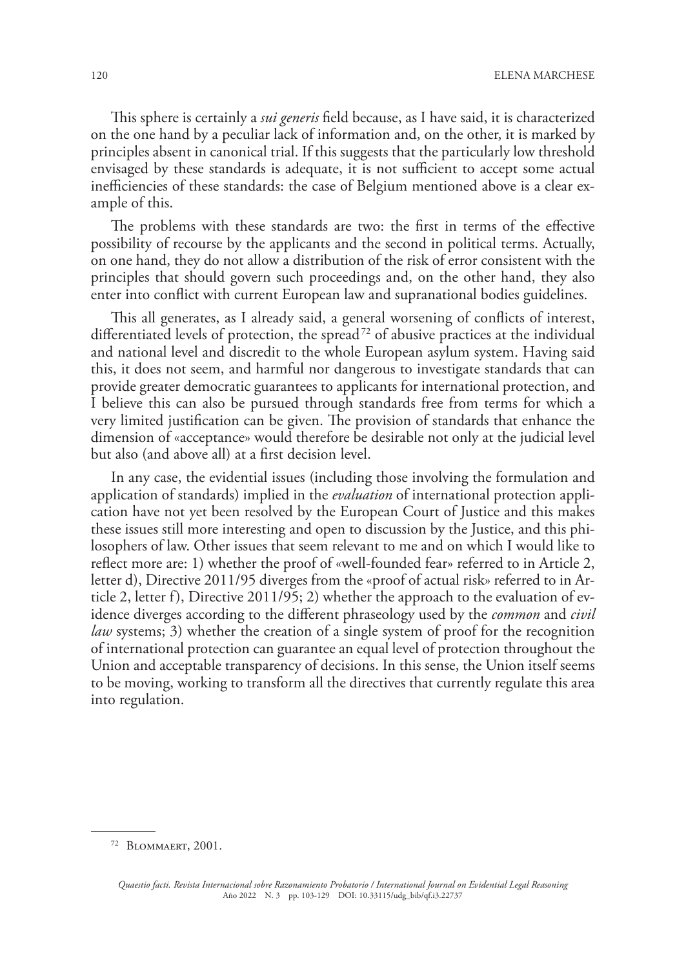This sphere is certainly a *sui generis* field because, as I have said, it is characterized on the one hand by a peculiar lack of information and, on the other, it is marked by principles absent in canonical trial. If this suggests that the particularly low threshold envisaged by these standards is adequate, it is not sufficient to accept some actual inefficiencies of these standards: the case of Belgium mentioned above is a clear example of this.

The problems with these standards are two: the first in terms of the effective possibility of recourse by the applicants and the second in political terms. Actually, on one hand, they do not allow a distribution of the risk of error consistent with the principles that should govern such proceedings and, on the other hand, they also enter into conflict with current European law and supranational bodies guidelines.

This all generates, as I already said, a general worsening of conflicts of interest, differentiated levels of protection, the spread<sup>72</sup> of abusive practices at the individual and national level and discredit to the whole European asylum system. Having said this, it does not seem, and harmful nor dangerous to investigate standards that can provide greater democratic guarantees to applicants for international protection, and I believe this can also be pursued through standards free from terms for which a very limited justification can be given. The provision of standards that enhance the dimension of «acceptance» would therefore be desirable not only at the judicial level but also (and above all) at a first decision level.

In any case, the evidential issues (including those involving the formulation and application of standards) implied in the *evaluation* of international protection application have not yet been resolved by the European Court of Justice and this makes these issues still more interesting and open to discussion by the Justice, and this philosophers of law. Other issues that seem relevant to me and on which I would like to reflect more are: 1) whether the proof of «well-founded fear» referred to in Article 2, letter d), Directive 2011/95 diverges from the «proof of actual risk» referred to in Article 2, letter f), Directive 2011/95; 2) whether the approach to the evaluation of evidence diverges according to the different phraseology used by the *common* and *civil law* systems; 3) whether the creation of a single system of proof for the recognition of international protection can guarantee an equal level of protection throughout the Union and acceptable transparency of decisions. In this sense, the Union itself seems to be moving, working to transform all the directives that currently regulate this area into regulation.

<sup>72</sup> Blommaert, 2001.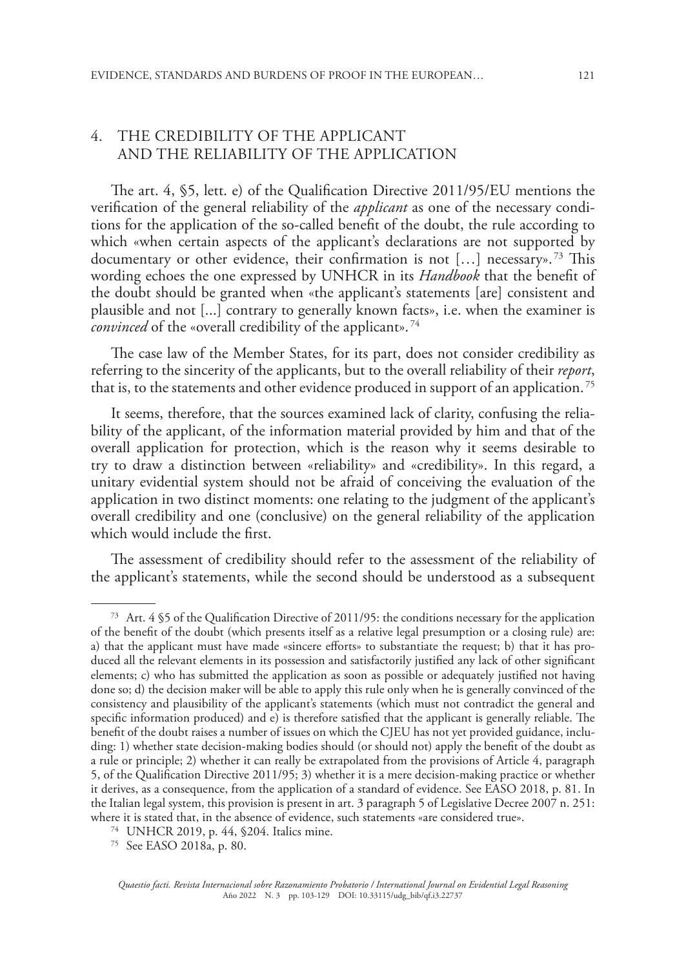# 4. THE CREDIBILITY OF THE APPLICANT AND THE RELIABILITY OF THE APPLICATION

The art. 4, §5, lett. e) of the Qualification Directive 2011/95/EU mentions the verification of the general reliability of the *applicant* as one of the necessary conditions for the application of the so-called benefit of the doubt, the rule according to which «when certain aspects of the applicant's declarations are not supported by documentary or other evidence, their confirmation is not […] necessary». 73 This wording echoes the one expressed by UNHCR in its *Handbook* that the benefit of the doubt should be granted when «the applicant's statements [are] consistent and plausible and not [...] contrary to generally known facts», i.e. when the examiner is *convinced* of the «overall credibility of the applicant».<sup>74</sup>

The case law of the Member States, for its part, does not consider credibility as referring to the sincerity of the applicants, but to the overall reliability of their *report*, that is, to the statements and other evidence produced in support of an application.<sup>75</sup>

It seems, therefore, that the sources examined lack of clarity, confusing the reliability of the applicant, of the information material provided by him and that of the overall application for protection, which is the reason why it seems desirable to try to draw a distinction between «reliability» and «credibility». In this regard, a unitary evidential system should not be afraid of conceiving the evaluation of the application in two distinct moments: one relating to the judgment of the applicant's overall credibility and one (conclusive) on the general reliability of the application which would include the first.

The assessment of credibility should refer to the assessment of the reliability of the applicant's statements, while the second should be understood as a subsequent

<sup>73</sup> Art. 4 §5 of the Qualification Directive of 2011/95: the conditions necessary for the application of the benefit of the doubt (which presents itself as a relative legal presumption or a closing rule) are: a) that the applicant must have made «sincere efforts» to substantiate the request; b) that it has produced all the relevant elements in its possession and satisfactorily justified any lack of other significant elements; c) who has submitted the application as soon as possible or adequately justified not having done so; d) the decision maker will be able to apply this rule only when he is generally convinced of the consistency and plausibility of the applicant's statements (which must not contradict the general and specific information produced) and e) is therefore satisfied that the applicant is generally reliable. The benefit of the doubt raises a number of issues on which the CJEU has not yet provided guidance, including: 1) whether state decision-making bodies should (or should not) apply the benefit of the doubt as a rule or principle; 2) whether it can really be extrapolated from the provisions of Article 4, paragraph 5, of the Qualification Directive 2011/95; 3) whether it is a mere decision-making practice or whether it derives, as a consequence, from the application of a standard of evidence. See EASO 2018, p. 81. In the Italian legal system, this provision is present in art. 3 paragraph 5 of Legislative Decree 2007 n. 251: where it is stated that, in the absence of evidence, such statements «are considered true».

<sup>74</sup> UNHCR 2019, p. 44, §204. Italics mine.

<sup>75</sup> See EASO 2018a, p. 80.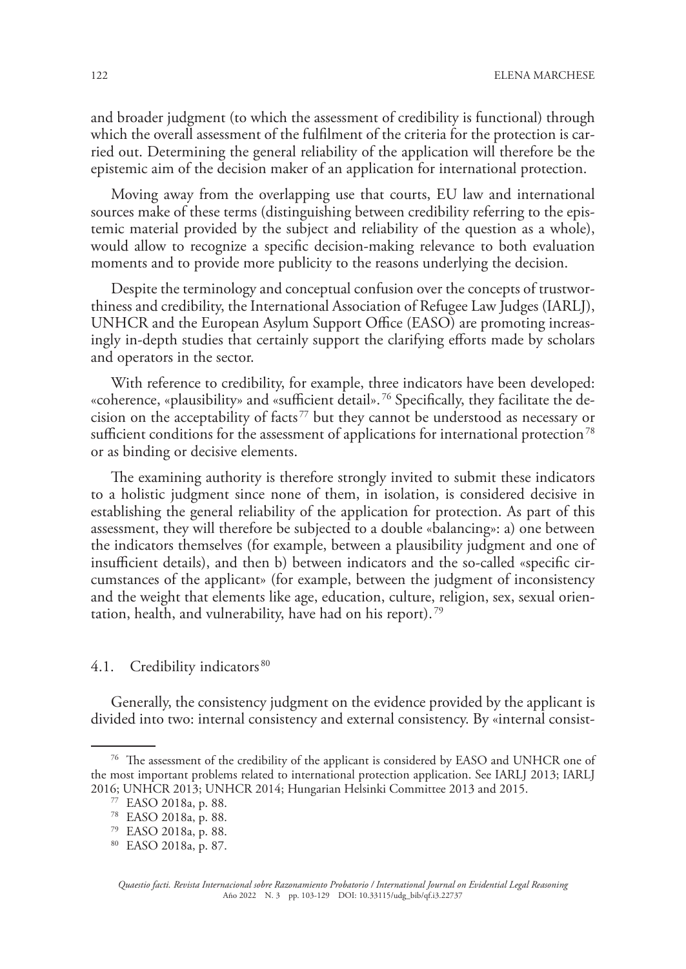and broader judgment (to which the assessment of credibility is functional) through which the overall assessment of the fulfilment of the criteria for the protection is carried out. Determining the general reliability of the application will therefore be the epistemic aim of the decision maker of an application for international protection.

Moving away from the overlapping use that courts, EU law and international sources make of these terms (distinguishing between credibility referring to the epistemic material provided by the subject and reliability of the question as a whole), would allow to recognize a specific decision-making relevance to both evaluation moments and to provide more publicity to the reasons underlying the decision.

Despite the terminology and conceptual confusion over the concepts of trustworthiness and credibility, the International Association of Refugee Law Judges (IARLJ), UNHCR and the European Asylum Support Office (EASO) are promoting increasingly in-depth studies that certainly support the clarifying efforts made by scholars and operators in the sector.

With reference to credibility, for example, three indicators have been developed: «coherence, «plausibility» and «sufficient detail». 76 Specifically, they facilitate the decision on the acceptability of facts 77 but they cannot be understood as necessary or sufficient conditions for the assessment of applications for international protection<sup>78</sup> or as binding or decisive elements.

The examining authority is therefore strongly invited to submit these indicators to a holistic judgment since none of them, in isolation, is considered decisive in establishing the general reliability of the application for protection. As part of this assessment, they will therefore be subjected to a double «balancing»: a) one between the indicators themselves (for example, between a plausibility judgment and one of insufficient details), and then b) between indicators and the so-called «specific circumstances of the applicant» (for example, between the judgment of inconsistency and the weight that elements like age, education, culture, religion, sex, sexual orientation, health, and vulnerability, have had on his report). 79

## 4.1. Credibility indicators<sup>80</sup>

Generally, the consistency judgment on the evidence provided by the applicant is divided into two: internal consistency and external consistency. By «internal consist-

<sup>&</sup>lt;sup>76</sup> The assessment of the credibility of the applicant is considered by EASO and UNHCR one of the most important problems related to international protection application. See IARLJ 2013; IARLJ 2016; UNHCR 2013; UNHCR 2014; Hungarian Helsinki Committee 2013 and 2015.

<sup>77</sup> EASO 2018a, p. 88.

<sup>78</sup> EASO 2018a, p. 88.

<sup>79</sup> EASO 2018a, p. 88.

<sup>80</sup> EASO 2018a, p. 87.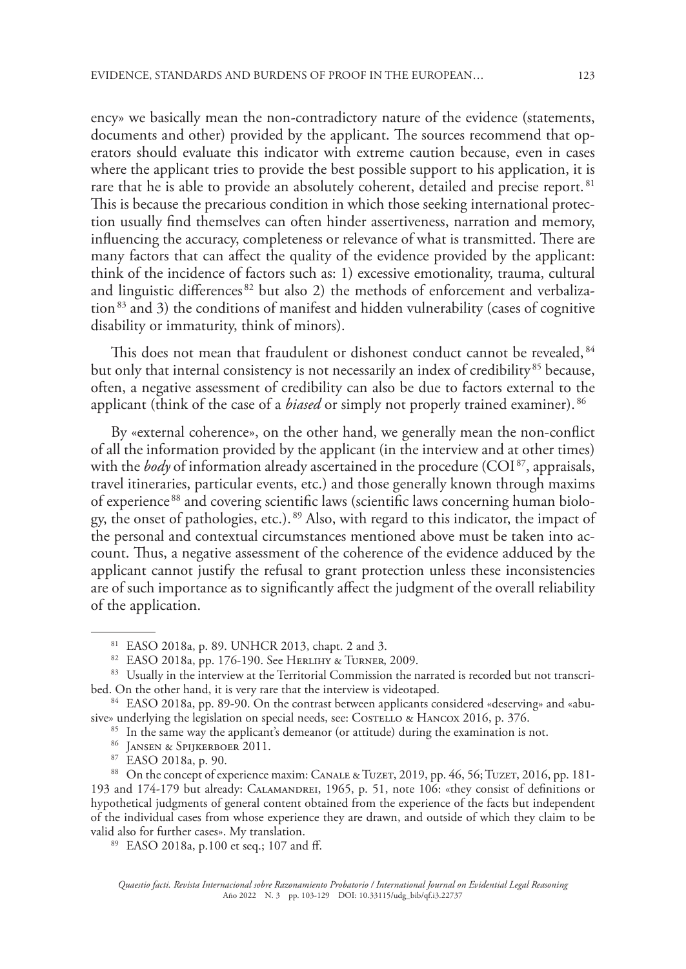ency» we basically mean the non-contradictory nature of the evidence (statements, documents and other) provided by the applicant. The sources recommend that operators should evaluate this indicator with extreme caution because, even in cases where the applicant tries to provide the best possible support to his application, it is rare that he is able to provide an absolutely coherent, detailed and precise report.<sup>81</sup> This is because the precarious condition in which those seeking international protection usually find themselves can often hinder assertiveness, narration and memory, influencing the accuracy, completeness or relevance of what is transmitted. There are many factors that can affect the quality of the evidence provided by the applicant: think of the incidence of factors such as: 1) excessive emotionality, trauma, cultural and linguistic differences 82 but also 2) the methods of enforcement and verbaliza- $\frac{1}{3}$  and 3) the conditions of manifest and hidden vulnerability (cases of cognitive disability or immaturity, think of minors).

This does not mean that fraudulent or dishonest conduct cannot be revealed, <sup>84</sup> but only that internal consistency is not necessarily an index of credibility<sup>85</sup> because, often, a negative assessment of credibility can also be due to factors external to the applicant (think of the case of a *biased* or simply not properly trained examiner). 86

By «external coherence», on the other hand, we generally mean the non-conflict of all the information provided by the applicant (in the interview and at other times) with the *body* of information already ascertained in the procedure (COI<sup>87</sup>, appraisals, travel itineraries, particular events, etc.) and those generally known through maxims of experience 88 and covering scientific laws (scientific laws concerning human biology, the onset of pathologies, etc.). 89 Also, with regard to this indicator, the impact of the personal and contextual circumstances mentioned above must be taken into account. Thus, a negative assessment of the coherence of the evidence adduced by the applicant cannot justify the refusal to grant protection unless these inconsistencies are of such importance as to significantly affect the judgment of the overall reliability of the application.

- <sup>86</sup> Jansen & Spijkerboer 2011.
- <sup>87</sup> EASO 2018a, p. 90.

88 On the concept of experience maxim: CANALE & TUZET, 2019, pp. 46, 56; TUZET, 2016, pp. 181-193 and 174-179 but already: Calamandrei, 1965, p. 51, note 106: «they consist of definitions or hypothetical judgments of general content obtained from the experience of the facts but independent of the individual cases from whose experience they are drawn, and outside of which they claim to be valid also for further cases». My translation.

<sup>89</sup> EASO 2018a, p.100 et seq.; 107 and ff.

<sup>81</sup> EASO 2018a, p. 89. UNHCR 2013, chapt. 2 and 3.

<sup>82</sup> EASO 2018a, pp. 176-190. See HERLIHY & TURNER, 2009.

<sup>&</sup>lt;sup>83</sup> Usually in the interview at the Territorial Commission the narrated is recorded but not transcribed. On the other hand, it is very rare that the interview is videotaped.

<sup>84</sup> EASO 2018a, pp. 89-90. On the contrast between applicants considered «deserving» and «abusive» underlying the legislation on special needs, see: COSTELLO & HANCOX 2016, p. 376.

<sup>&</sup>lt;sup>85</sup> In the same way the applicant's demeanor (or attitude) during the examination is not.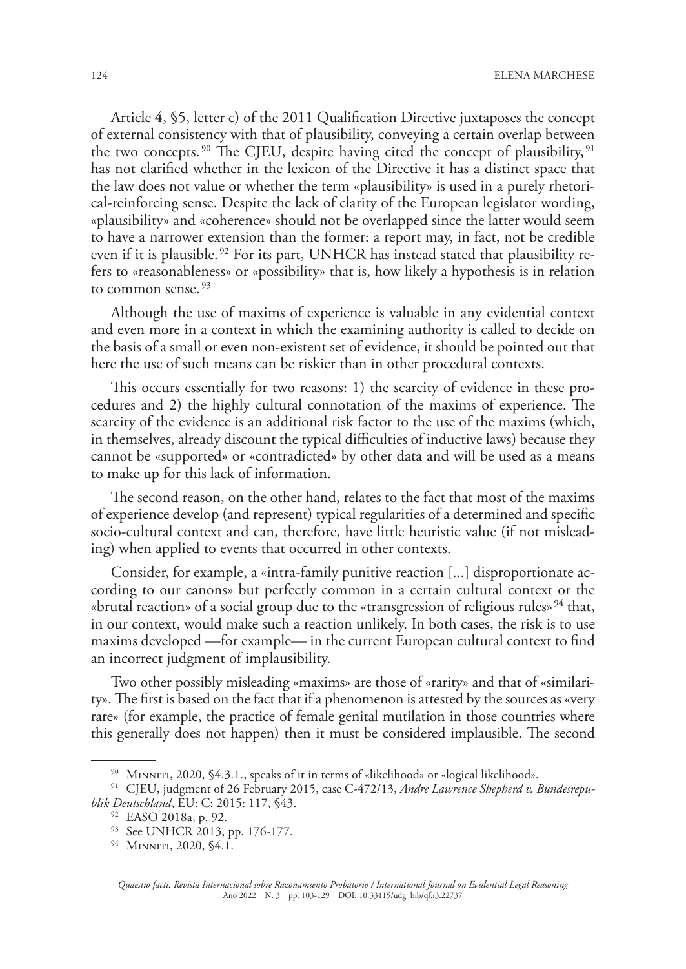Article 4, §5, letter c) of the 2011 Qualification Directive juxtaposes the concept of external consistency with that of plausibility, conveying a certain overlap between the two concepts.<sup>90</sup> The CJEU, despite having cited the concept of plausibility,<sup>91</sup> has not clarified whether in the lexicon of the Directive it has a distinct space that the law does not value or whether the term «plausibility» is used in a purely rhetorical-reinforcing sense. Despite the lack of clarity of the European legislator wording, «plausibility» and «coherence» should not be overlapped since the latter would seem to have a narrower extension than the former: a report may, in fact, not be credible even if it is plausible.<sup>92</sup> For its part, UNHCR has instead stated that plausibility refers to «reasonableness» or «possibility» that is, how likely a hypothesis is in relation to common sense. 93

Although the use of maxims of experience is valuable in any evidential context and even more in a context in which the examining authority is called to decide on the basis of a small or even non-existent set of evidence, it should be pointed out that here the use of such means can be riskier than in other procedural contexts.

This occurs essentially for two reasons: 1) the scarcity of evidence in these procedures and 2) the highly cultural connotation of the maxims of experience. The scarcity of the evidence is an additional risk factor to the use of the maxims (which, in themselves, already discount the typical difficulties of inductive laws) because they cannot be «supported» or «contradicted» by other data and will be used as a means to make up for this lack of information.

The second reason, on the other hand, relates to the fact that most of the maxims of experience develop (and represent) typical regularities of a determined and specific socio-cultural context and can, therefore, have little heuristic value (if not misleading) when applied to events that occurred in other contexts.

Consider, for example, a «intra-family punitive reaction [...] disproportionate according to our canons» but perfectly common in a certain cultural context or the «brutal reaction» of a social group due to the «transgression of religious rules»  $94$  that, in our context, would make such a reaction unlikely. In both cases, the risk is to use maxims developed —for example— in the current European cultural context to find an incorrect judgment of implausibility.

Two other possibly misleading «maxims» are those of «rarity» and that of «similarity». The first is based on the fact that if a phenomenon is attested by the sources as «very rare» (for example, the practice of female genital mutilation in those countries where this generally does not happen) then it must be considered implausible. The second

<sup>90</sup> MINNITI, 2020, §4.3.1., speaks of it in terms of «likelihood» or «logical likelihood».

<sup>91</sup> CJEU, judgment of 26 February 2015, case C-472/13, *Andre Lawrence Shepherd v. Bundesrepublik Deutschland*, EU: C: 2015: 117, §43.

<sup>92</sup> EASO 2018a, p. 92.

<sup>93</sup> See UNHCR 2013, pp. 176-177.

<sup>&</sup>lt;sup>94</sup> MINNITI, 2020, §4.1.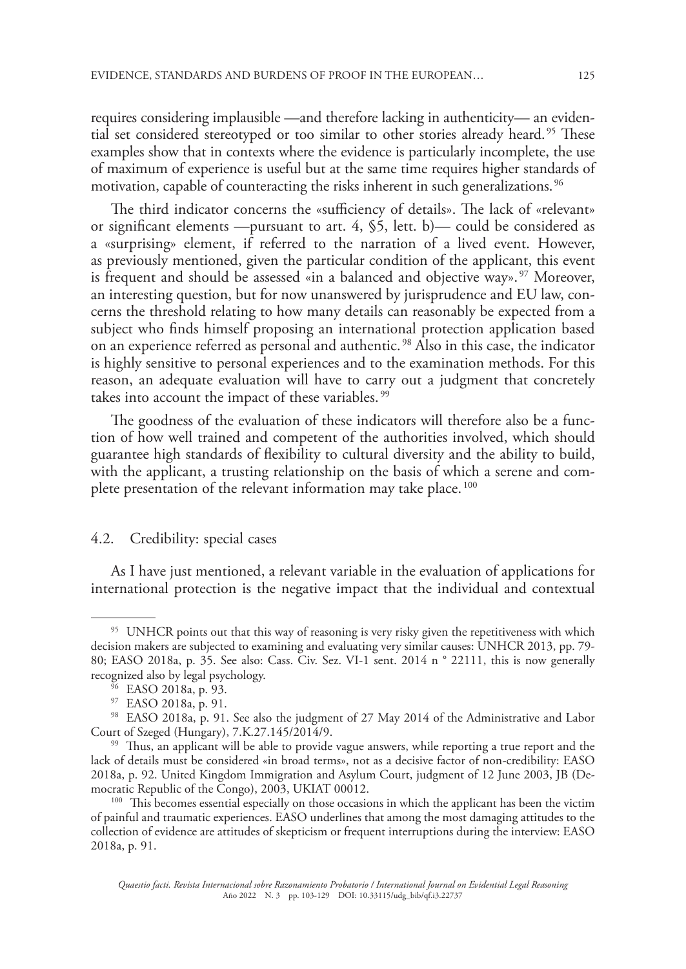requires considering implausible —and therefore lacking in authenticity— an evidential set considered stereotyped or too similar to other stories already heard. 95 These examples show that in contexts where the evidence is particularly incomplete, the use of maximum of experience is useful but at the same time requires higher standards of motivation, capable of counteracting the risks inherent in such generalizations.<sup>96</sup>

The third indicator concerns the «sufficiency of details». The lack of «relevant» or significant elements —pursuant to art. 4, §5, lett. b)— could be considered as a «surprising» element, if referred to the narration of a lived event. However, as previously mentioned, given the particular condition of the applicant, this event is frequent and should be assessed «in a balanced and objective way».<sup>97</sup> Moreover, an interesting question, but for now unanswered by jurisprudence and EU law, concerns the threshold relating to how many details can reasonably be expected from a subject who finds himself proposing an international protection application based on an experience referred as personal and authentic. 98 Also in this case, the indicator is highly sensitive to personal experiences and to the examination methods. For this reason, an adequate evaluation will have to carry out a judgment that concretely takes into account the impact of these variables.<sup>99</sup>

The goodness of the evaluation of these indicators will therefore also be a function of how well trained and competent of the authorities involved, which should guarantee high standards of flexibility to cultural diversity and the ability to build, with the applicant, a trusting relationship on the basis of which a serene and complete presentation of the relevant information may take place. 100

#### 4.2. Credibility: special cases

As I have just mentioned, a relevant variable in the evaluation of applications for international protection is the negative impact that the individual and contextual

<sup>&</sup>lt;sup>95</sup> UNHCR points out that this way of reasoning is very risky given the repetitiveness with which decision makers are subjected to examining and evaluating very similar causes: UNHCR 2013, pp. 79- 80; EASO 2018a, p. 35. See also: Cass. Civ. Sez. VI-1 sent. 2014 n ° 22111, this is now generally recognized also by legal psychology.

<sup>&</sup>lt;sup>96</sup> EASO 2018a, p. 93.

<sup>97</sup> EASO 2018a, p. 91.

<sup>98</sup> EASO 2018a, p. 91. See also the judgment of 27 May 2014 of the Administrative and Labor Court of Szeged (Hungary), 7.K.27.145/2014/9.

<sup>&</sup>lt;sup>99</sup> Thus, an applicant will be able to provide vague answers, while reporting a true report and the lack of details must be considered «in broad terms», not as a decisive factor of non-credibility: EASO 2018a, p. 92. United Kingdom Immigration and Asylum Court, judgment of 12 June 2003, JB (Democratic Republic of the Congo), 2003, UKIAT 00012.

<sup>&</sup>lt;sup>100</sup> This becomes essential especially on those occasions in which the applicant has been the victim of painful and traumatic experiences. EASO underlines that among the most damaging attitudes to the collection of evidence are attitudes of skepticism or frequent interruptions during the interview: EASO 2018a, p. 91.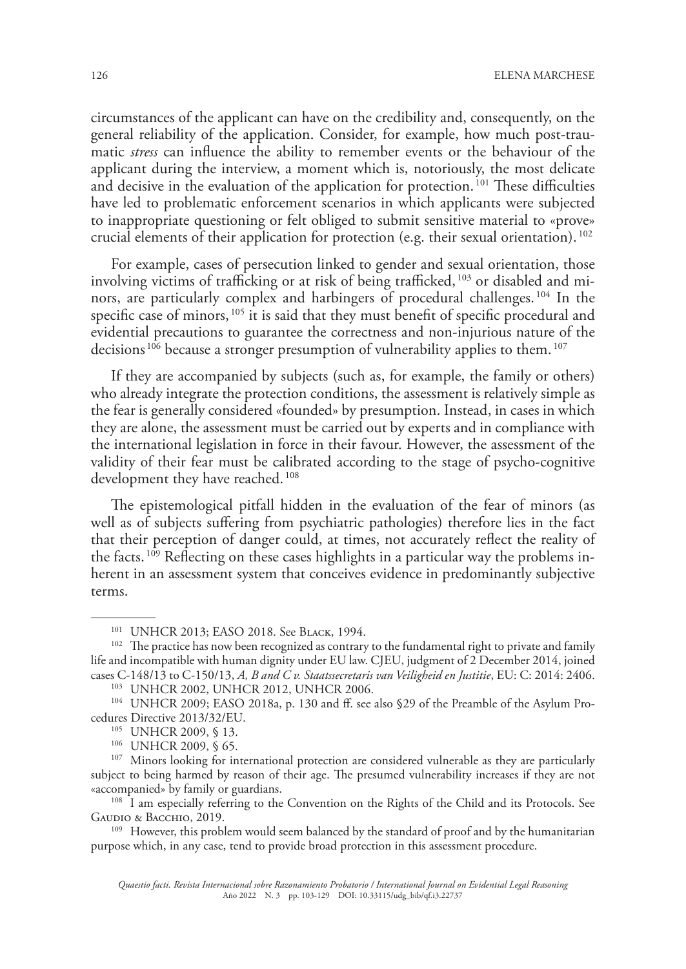circumstances of the applicant can have on the credibility and, consequently, on the general reliability of the application. Consider, for example, how much post-traumatic *stress* can influence the ability to remember events or the behaviour of the applicant during the interview, a moment which is, notoriously, the most delicate and decisive in the evaluation of the application for protection. 101 These difficulties have led to problematic enforcement scenarios in which applicants were subjected to inappropriate questioning or felt obliged to submit sensitive material to «prove» crucial elements of their application for protection (e.g. their sexual orientation).  $^{102}$ 

For example, cases of persecution linked to gender and sexual orientation, those involving victims of trafficking or at risk of being trafficked, 103 or disabled and minors, are particularly complex and harbingers of procedural challenges. 104 In the specific case of minors, 105 it is said that they must benefit of specific procedural and evidential precautions to guarantee the correctness and non-injurious nature of the decisions<sup>106</sup> because a stronger presumption of vulnerability applies to them.<sup>107</sup>

If they are accompanied by subjects (such as, for example, the family or others) who already integrate the protection conditions, the assessment is relatively simple as the fear is generally considered «founded» by presumption. Instead, in cases in which they are alone, the assessment must be carried out by experts and in compliance with the international legislation in force in their favour. However, the assessment of the validity of their fear must be calibrated according to the stage of psycho-cognitive development they have reached. 108

The epistemological pitfall hidden in the evaluation of the fear of minors (as well as of subjects suffering from psychiatric pathologies) therefore lies in the fact that their perception of danger could, at times, not accurately reflect the reality of the facts.<sup>109</sup> Reflecting on these cases highlights in a particular way the problems inherent in an assessment system that conceives evidence in predominantly subjective terms.

<sup>108</sup> I am especially referring to the Convention on the Rights of the Child and its Protocols. See Gaudio & Bacchio, 2019.

<sup>109</sup> However, this problem would seem balanced by the standard of proof and by the humanitarian purpose which, in any case, tend to provide broad protection in this assessment procedure.

<sup>101</sup> UNHCR 2013; EASO 2018. See Black, 1994.

<sup>&</sup>lt;sup>102</sup> The practice has now been recognized as contrary to the fundamental right to private and family life and incompatible with human dignity under EU law. CJEU, judgment of 2 December 2014, joined cases C-148/13 to C-150/13, *A, B and C v. Staatssecretaris van Veiligheid en Justitie*, EU: C: 2014: 2406.

<sup>103</sup> UNHCR 2002, UNHCR 2012, UNHCR 2006.

<sup>104</sup> UNHCR 2009; EASO 2018a, p. 130 and ff. see also §29 of the Preamble of the Asylum Procedures Directive 2013/32/EU.

<sup>105</sup> UNHCR 2009, § 13.

<sup>106</sup> UNHCR 2009, § 65.

<sup>&</sup>lt;sup>107</sup> Minors looking for international protection are considered vulnerable as they are particularly subject to being harmed by reason of their age. The presumed vulnerability increases if they are not «accompanied» by family or guardians.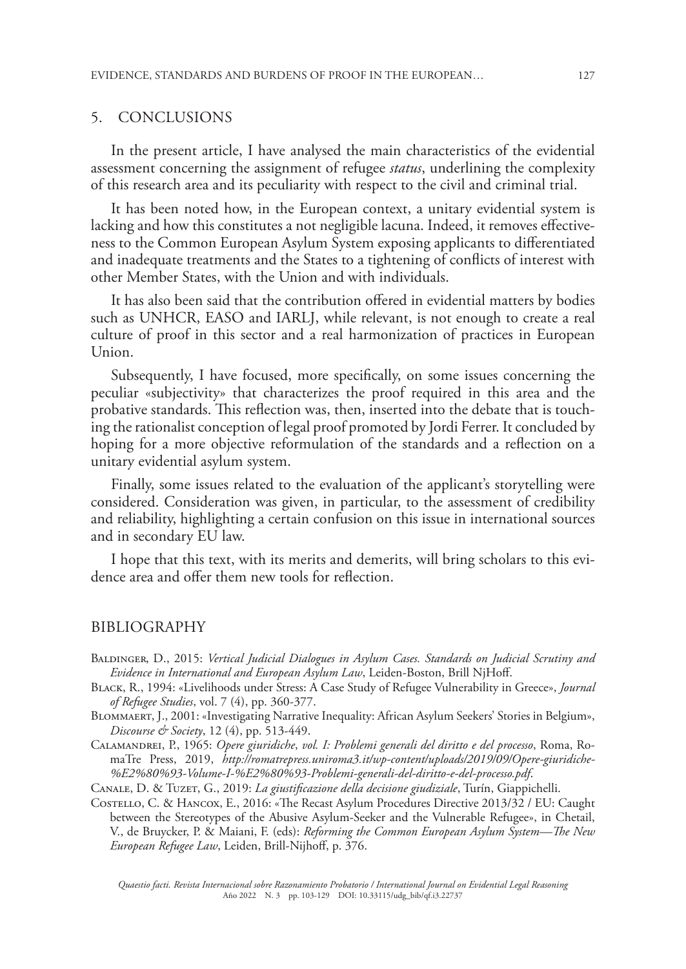### 5. CONCLUSIONS

In the present article, I have analysed the main characteristics of the evidential assessment concerning the assignment of refugee *status*, underlining the complexity of this research area and its peculiarity with respect to the civil and criminal trial.

It has been noted how, in the European context, a unitary evidential system is lacking and how this constitutes a not negligible lacuna. Indeed, it removes effectiveness to the Common European Asylum System exposing applicants to differentiated and inadequate treatments and the States to a tightening of conflicts of interest with other Member States, with the Union and with individuals.

It has also been said that the contribution offered in evidential matters by bodies such as UNHCR, EASO and IARLJ, while relevant, is not enough to create a real culture of proof in this sector and a real harmonization of practices in European Union.

Subsequently, I have focused, more specifically, on some issues concerning the peculiar «subjectivity» that characterizes the proof required in this area and the probative standards. This reflection was, then, inserted into the debate that is touching the rationalist conception of legal proof promoted by Jordi Ferrer. It concluded by hoping for a more objective reformulation of the standards and a reflection on a unitary evidential asylum system.

Finally, some issues related to the evaluation of the applicant's storytelling were considered. Consideration was given, in particular, to the assessment of credibility and reliability, highlighting a certain confusion on this issue in international sources and in secondary EU law.

I hope that this text, with its merits and demerits, will bring scholars to this evidence area and offer them new tools for reflection.

#### BIBLIOGRAPHY

Baldinger, D., 2015: *Vertical Judicial Dialogues in Asylum Cases. Standards on Judicial Scrutiny and Evidence in International and European Asylum Law*, Leiden-Boston, Brill NjHoff.

Black, R., 1994: «Livelihoods under Stress: A Case Study of Refugee Vulnerability in Greece», *Journal of Refugee Studies*, vol. 7 (4), pp. 360-377.

Blommaert, J., 2001: «Investigating Narrative Inequality: African Asylum Seekers' Stories in Belgium», *Discourse & Society*, 12 (4), pp. 513-449.

Calamandrei, P., 1965: *Opere giuridiche*, *vol. I: Problemi generali del diritto e del processo*, Roma, RomaTre Press, 2019, *http://romatrepress.uniroma3.it/wp-content/uploads/2019/09/Opere-giuridiche- %E2%80%93-Volume-I-%E2%80%93-Problemi-generali-del-diritto-e-del-processo.pdf*.

Canale, D. & Tuzet, G., 2019: *La giustificazione della decisione giudiziale*, Turín, Giappichelli.

Costello, C. & Hancox, E., 2016: «The Recast Asylum Procedures Directive 2013/32 / EU: Caught between the Stereotypes of the Abusive Asylum-Seeker and the Vulnerable Refugee», in Chetail, V., de Bruycker, P. & Maiani, F. (eds): *Reforming the Common European Asylum System—The New European Refugee Law*, Leiden, Brill-Nijhoff, p. 376.

*Quaestio facti. Revista Internacional sobre Razonamiento Probatorio / International Journal on Evidential Legal Reasoning* Año 2022 N. 3 pp. 103-129 DOI: 10.33115/udg\_bib/qf.i3.22737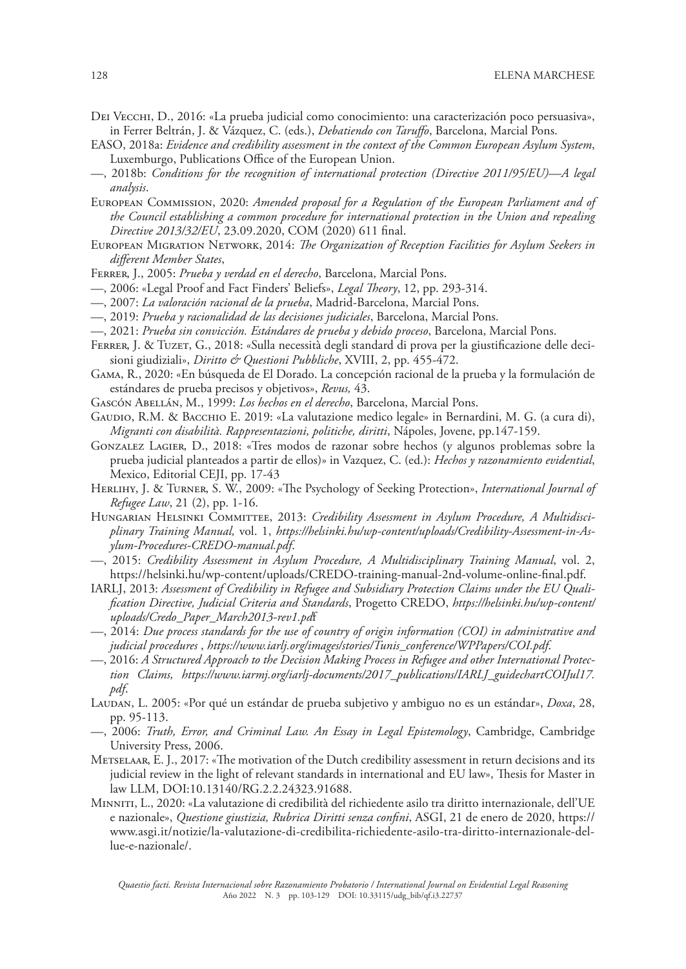- Dei Vecchi, D., 2016: «La prueba judicial como conocimiento: una caracterización poco persuasiva», in Ferrer Beltrán, J. & Vázquez, C. (eds.), *Debatiendo con Taruffo*, Barcelona, Marcial Pons.
- EASO, 2018a: *Evidence and credibility assessment in the context of the Common European Asylum System*, Luxemburgo, Publications Office of the European Union.
- —, 2018b: *Conditions for the recognition of international protection (Directive 2011/95/EU)—A legal analysis*.
- European Commission, 2020: *Amended proposal for a Regulation of the European Parliament and of the Council establishing a common procedure for international protection in the Union and repealing Directive 2013/32/EU*, 23.09.2020, COM (2020) 611 final.
- European Migration Network, 2014: *The Organization of Reception Facilities for Asylum Seekers in different Member States*,
- Ferrer, J., 2005: *Prueba y verdad en el derecho*, Barcelona, Marcial Pons.
- —, 2006: «Legal Proof and Fact Finders' Beliefs», *Legal Theory*, 12, pp. 293-314.
- —, 2007: *La valoración racional de la prueba*, Madrid-Barcelona, Marcial Pons.
- —, 2019: *Prueba y racionalidad de las decisiones judiciales*, Barcelona, Marcial Pons.
- —, 2021: *Prueba sin convicción. Estándares de prueba y debido proceso*, Barcelona, Marcial Pons.
- Ferrer, J. & Tuzet, G., 2018: «Sulla necessità degli standard di prova per la giustificazione delle decisioni giudiziali», *Diritto & Questioni Pubbliche*, XVIII, 2, pp. 455-472.
- Gama, R., 2020: «En búsqueda de El Dorado. La concepción racional de la prueba y la formulación de estándares de prueba precisos y objetivos», *Revus,* 43.
- Gascón Abellán, M., 1999: *Los hechos en el derecho*, Barcelona, Marcial Pons.
- Gaudio, R.M. & Bacchio E. 2019: «La valutazione medico legale» in Bernardini, M. G. (a cura di), *Migranti con disabilità. Rappresentazioni, politiche, diritti*, Nápoles, Jovene, pp.147-159.
- Gonzalez Lagier, D., 2018: «Tres modos de razonar sobre hechos (y algunos problemas sobre la prueba judicial planteados a partir de ellos)» in Vazquez, C. (ed.): *Hechos y razonamiento evidential*, Mexico, Editorial CEJI, pp. 17-43
- Herlihy, J. & Turner, S. W., 2009: «The Psychology of Seeking Protection», *International Journal of Refugee Law*, 21 (2), pp. 1-16.
- HUNGARIAN HELSINKI COMMITTEE, 2013: Credibility Assessment in Asylum Procedure, A Multidisci*plinary Training Manual,* vol. 1, *https://helsinki.hu/wp-content/uploads/Credibility-Assessment-in-Asylum-Procedures-CREDO-manual.pdf*.
- —, 2015: *Credibility Assessment in Asylum Procedure, A Multidisciplinary Training Manual*, vol. 2, https://helsinki.hu/wp-content/uploads/CREDO-training-manual-2nd-volume-online-final.pdf.
- IARLJ, 2013: *Assessment of Credibility in Refugee and Subsidiary Protection Claims under the EU Qualification Directive, Judicial Criteria and Standards*, Progetto CREDO, *https://helsinki.hu/wp-content/ uploads/Credo\_Paper\_March2013-rev1.pd*f
- —, 2014: *Due process standards for the use of country of origin information (COI) in administrative and judicial procedures* , *https://www.iarlj.org/images/stories/Tunis\_conference/WPPapers/COI.pdf*.
- —, 2016: *A Structured Approach to the Decision Making Process in Refugee and other International Protection Claims, https://www.iarmj.org/iarlj-documents/2017\_publications/IARLJ\_guidechartCOIJul17. pdf*.
- Laudan, L. 2005: «Por qué un estándar de prueba subjetivo y ambiguo no es un estándar», *Doxa*, 28, pp. 95-113.
- —, 2006: *Truth, Error, and Criminal Law. An Essay in Legal Epistemology*, Cambridge, Cambridge University Press, 2006.
- Metselaar, E. J., 2017: «The motivation of the Dutch credibility assessment in return decisions and its judicial review in the light of relevant standards in international and EU law», Thesis for Master in law LLM, DOI:10.13140/RG.2.2.24323.91688.
- Minniti, L., 2020: «La valutazione di credibilità del richiedente asilo tra diritto internazionale, dell'UE e nazionale», *Questione giustizia, Rubrica Diritti senza confini*, ASGI, 21 de enero de 2020, https:// www.asgi.it/notizie/la-valutazione-di-credibilita-richiedente-asilo-tra-diritto-internazionale-dellue-e-nazionale/.